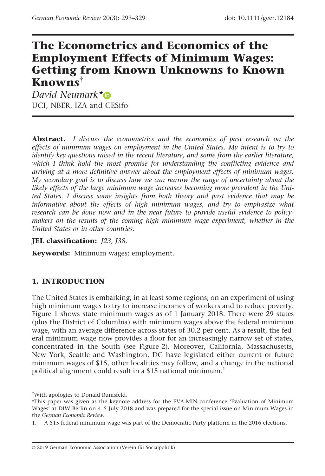# The Econometrics and Economics of the Employment Effects of Minimum Wages: Getting from Known Unknowns to Known Knowns†

David Neumark\* UCI, NBER, IZA and CESifo

Abstract. I discuss the econometrics and the economics of past research on the effects of minimum wages on employment in the United States. My intent is to try to identify key questions raised in the recent literature, and some from the earlier literature, which I think hold the most promise for understanding the conflicting evidence and arriving at a more definitive answer about the employment effects of minimum wages. My secondary goal is to discuss how we can narrow the range of uncertainty about the likely effects of the large minimum wage increases becoming more prevalent in the United States. I discuss some insights from both theory and past evidence that may be informative about the effects of high minimum wages, and try to emphasize what research can be done now and in the near future to provide useful evidence to policymakers on the results of the coming high minimum wage experiment, whether in the United States or in other countries.

JEL classification: J23, J38.

Keywords: Minimum wages; employment.

# 1. INTRODUCTION

The United States is embarking, in at least some regions, on an experiment of using high minimum wages to try to increase incomes of workers and to reduce poverty. Figure 1 shows state minimum wages as of 1 January 2018. There were 29 states (plus the District of Columbia) with minimum wages above the federal minimum wage, with an average difference across states of 30.2 per cent. As a result, the federal minimum wage now provides a floor for an increasingly narrow set of states, concentrated in the South (see Figure 2). Moreover, California, Massachusetts, New York, Seattle and Washington, DC have legislated either current or future minimum wages of \$15, other localities may follow, and a change in the national political alignment could result in a \$15 national minimum.<sup>1</sup>

† With apologies to Donald Rumsfeld.

1. A \$15 federal minimum wage was part of the Democratic Party platform in the 2016 elections.

<sup>\*</sup>This paper was given as the keynote address for the EVA-MIN conference 'Evaluation of Minimum Wages' at DIW Berlin on 4–5 July 2018 and was prepared for the special issue on Minimum Wages in the German Economic Review.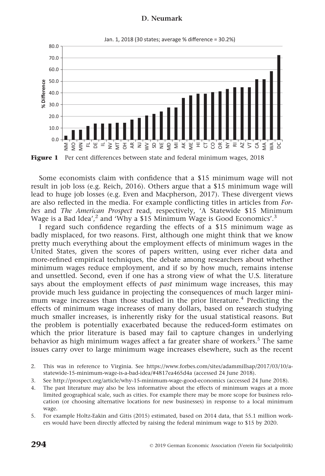

Figure 1 Per cent differences between state and federal minimum wages, 2018

Some economists claim with confidence that a \$15 minimum wage will not result in job loss (e.g. Reich, 2016). Others argue that a \$15 minimum wage will lead to huge job losses (e.g. Even and Macpherson, 2017). These divergent views are also reflected in the media. For example conflicting titles in articles from Forbes and The American Prospect read, respectively, 'A Statewide \$15 Minimum Wage is a Bad Idea',<sup>2</sup> and 'Why a \$15 Minimum Wage is Good Economics'.<sup>3</sup>

I regard such confidence regarding the effects of a \$15 minimum wage as badly misplaced, for two reasons. First, although one might think that we know pretty much everything about the employment effects of minimum wages in the United States, given the scores of papers written, using ever richer data and more-refined empirical techniques, the debate among researchers about whether minimum wages reduce employment, and if so by how much, remains intense and unsettled. Second, even if one has a strong view of what the U.S. literature says about the employment effects of *past* minimum wage increases, this may provide much less guidance in projecting the consequences of much larger minimum wage increases than those studied in the prior literature.<sup>4</sup> Predicting the effects of minimum wage increases of many dollars, based on research studying much smaller increases, is inherently risky for the usual statistical reasons. But the problem is potentially exacerbated because the reduced-form estimates on which the prior literature is based may fail to capture changes in underlying behavior as high minimum wages affect a far greater share of workers.<sup>5</sup> The same issues carry over to large minimum wage increases elsewhere, such as the recent

- 2. This was in reference to Virginia. See [https://www.forbes.com/sites/adammillsap/2017/03/10/a](https://www.forbes.com/sites/adammillsap/2017/03/10/a-statewide-15-minimum-wage-is-a-bad-idea/#4817ea465d4a)[statewide-15-minimum-wage-is-a-bad-idea/#4817ea465d4a](https://www.forbes.com/sites/adammillsap/2017/03/10/a-statewide-15-minimum-wage-is-a-bad-idea/#4817ea465d4a) (accessed 24 June 2018).
- 3. See<http://prospect.org/article/why-15-minimum-wage-good-economics> (accessed 24 June 2018).
- 4. The past literature may also be less informative about the effects of minimum wages at a more limited geographical scale, such as cities. For example there may be more scope for business relocation (or choosing alternative locations for new businesses) in response to a local minimum wage.
- 5. For example Holtz-Eakin and Gitis (2015) estimated, based on 2014 data, that 55.1 million workers would have been directly affected by raising the federal minimum wage to \$15 by 2020.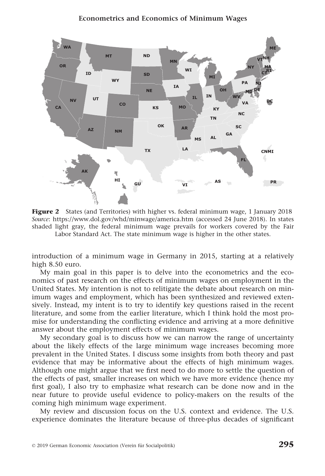#### Econometrics and Economics of Minimum Wages



Figure 2 States (and Territories) with higher vs. federal minimum wage, 1 January 2018 Source:<https://www.dol.gov/whd/minwage/america.htm> (accessed 24 June 2018). In states shaded light gray, the federal minimum wage prevails for workers covered by the Fair Labor Standard Act. The state minimum wage is higher in the other states.

introduction of a minimum wage in Germany in 2015, starting at a relatively high 8.50 euro.

My main goal in this paper is to delve into the econometrics and the economics of past research on the effects of minimum wages on employment in the United States. My intention is not to relitigate the debate about research on minimum wages and employment, which has been synthesized and reviewed extensively. Instead, my intent is to try to identify key questions raised in the recent literature, and some from the earlier literature, which I think hold the most promise for understanding the conflicting evidence and arriving at a more definitive answer about the employment effects of minimum wages.

My secondary goal is to discuss how we can narrow the range of uncertainty about the likely effects of the large minimum wage increases becoming more prevalent in the United States. I discuss some insights from both theory and past evidence that may be informative about the effects of high minimum wages. Although one might argue that we first need to do more to settle the question of the effects of past, smaller increases on which we have more evidence (hence my first goal), I also try to emphasize what research can be done now and in the near future to provide useful evidence to policy-makers on the results of the coming high minimum wage experiment.

My review and discussion focus on the U.S. context and evidence. The U.S. experience dominates the literature because of three-plus decades of significant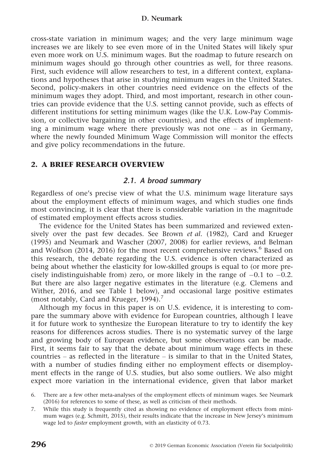cross-state variation in minimum wages; and the very large minimum wage increases we are likely to see even more of in the United States will likely spur even more work on U.S. minimum wages. But the roadmap to future research on minimum wages should go through other countries as well, for three reasons. First, such evidence will allow researchers to test, in a different context, explanations and hypotheses that arise in studying minimum wages in the United States. Second, policy-makers in other countries need evidence on the effects of the minimum wages they adopt. Third, and most important, research in other countries can provide evidence that the U.S. setting cannot provide, such as effects of different institutions for setting minimum wages (like the U.K. Low-Pay Commission, or collective bargaining in other countries), and the effects of implementing a minimum wage where there previously was not one – as in Germany, where the newly founded Minimum Wage Commission will monitor the effects and give policy recommendations in the future.

# 2. A BRIEF RESEARCH OVERVIEW

### 2.1. A broad summary

Regardless of one's precise view of what the U.S. minimum wage literature says about the employment effects of minimum wages, and which studies one finds most convincing, it is clear that there is considerable variation in the magnitude of estimated employment effects across studies.

The evidence for the United States has been summarized and reviewed extensively over the past few decades. See Brown *et al.* (1982), Card and Krueger (1995) and Neumark and Wascher (2007, 2008) for earlier reviews, and Belman and Wolfson  $(2014, 2016)$  for the most recent comprehensive reviews.<sup>6</sup> Based on this research, the debate regarding the U.S. evidence is often characterized as being about whether the elasticity for low-skilled groups is equal to (or more precisely indistinguishable from) zero, or more likely in the range of  $-0.1$  to  $-0.2$ . But there are also larger negative estimates in the literature (e.g. Clemens and Wither, 2016, and see Table 1 below), and occasional large positive estimates (most notably, Card and Krueger, 1994).<sup>7</sup>

Although my focus in this paper is on U.S. evidence, it is interesting to compare the summary above with evidence for European countries, although I leave it for future work to synthesize the European literature to try to identify the key reasons for differences across studies. There is no systematic survey of the large and growing body of European evidence, but some observations can be made. First, it seems fair to say that the debate about minimum wage effects in these countries – as reflected in the literature – is similar to that in the United States, with a number of studies finding either no employment effects or disemployment effects in the range of U.S. studies, but also some outliers. We also might expect more variation in the international evidence, given that labor market

6. There are a few other meta-analyses of the employment effects of minimum wages. See Neumark (2016) for references to some of these, as well as criticism of their methods.

7. While this study is frequently cited as showing no evidence of employment effects from minimum wages (e.g. Schmitt, 2015), their results indicate that the increase in New Jersey's minimum wage led to faster employment growth, with an elasticity of 0.73.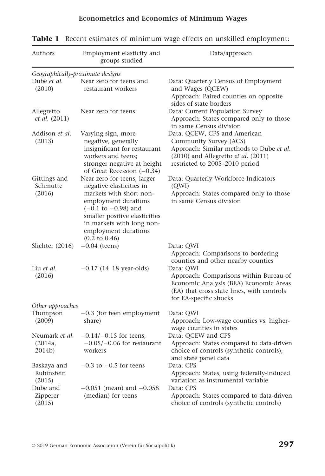| Authors                                                   | Employment elasticity and<br>groups studied                                                                                                                                                                                                             | Data/approach                                                                                                                                                                   |
|-----------------------------------------------------------|---------------------------------------------------------------------------------------------------------------------------------------------------------------------------------------------------------------------------------------------------------|---------------------------------------------------------------------------------------------------------------------------------------------------------------------------------|
| Geographically-proximate designs<br>Dube et al.<br>(2010) | Near zero for teens and<br>restaurant workers                                                                                                                                                                                                           | Data: Quarterly Census of Employment<br>and Wages (QCEW)                                                                                                                        |
| Allegretto<br><i>et al.</i> (2011)                        | Near zero for teens                                                                                                                                                                                                                                     | Approach: Paired counties on opposite<br>sides of state borders<br>Data: Current Population Survey<br>Approach: States compared only to those<br>in same Census division        |
| Addison et al.<br>(2013)                                  | Varying sign, more<br>negative, generally<br>insignificant for restaurant<br>workers and teens;<br>stronger negative at height<br>of Great Recession $(-0.34)$                                                                                          | Data: QCEW, CPS and American<br>Community Survey (ACS)<br>Approach: Similar methods to Dube et al.<br>$(2010)$ and Allegretto et al. $(2011)$<br>restricted to 2005-2010 period |
| Gittings and<br>Schmutte<br>(2016)                        | Near zero for teens; larger<br>negative elasticities in<br>markets with short non-<br>employment durations<br>$(-0.1$ to $-0.98)$ and<br>smaller positive elasticities<br>in markets with long non-<br>employment durations<br>$(0.2 \text{ to } 0.46)$ | Data: Quarterly Workforce Indicators<br>(QWI)<br>Approach: States compared only to those<br>in same Census division                                                             |
| Slichter $(2016)$                                         | $-0.04$ (teens)                                                                                                                                                                                                                                         | Data: QWI<br>Approach: Comparisons to bordering<br>counties and other nearby counties                                                                                           |
| Liu et al.<br>(2016)                                      | $-0.17$ (14–18 year-olds)                                                                                                                                                                                                                               | Data: QWI<br>Approach: Comparisons within Bureau of<br>Economic Analysis (BEA) Economic Areas<br>(EA) that cross state lines, with controls<br>for EA-specific shocks           |
| Other approaches<br>Thompson<br>(2009)                    | $-0.3$ (for teen employment<br>share)                                                                                                                                                                                                                   | Data: QWI<br>Approach: Low-wage counties vs. higher-                                                                                                                            |
| Neumark <i>et al.</i><br>(2014a,<br>2014b)                | $-0.14/-0.15$ for teens,<br>$-0.05/-0.06$ for restaurant<br>workers                                                                                                                                                                                     | wage counties in states<br>Data: QCEW and CPS<br>Approach: States compared to data-driven<br>choice of controls (synthetic controls),<br>and state panel data                   |
| Baskaya and<br>Rubinstein<br>(2015)                       | $-0.3$ to $-0.5$ for teens                                                                                                                                                                                                                              | Data: CPS<br>Approach: States, using federally-induced<br>variation as instrumental variable                                                                                    |
| Dube and<br>Zipperer<br>(2015)                            | $-0.051$ (mean) and $-0.058$<br>(median) for teens                                                                                                                                                                                                      | Data: CPS<br>Approach: States compared to data-driven<br>choice of controls (synthetic controls)                                                                                |

|  | Table 1 Recent estimates of minimum wage effects on unskilled employment: |  |  |  |  |
|--|---------------------------------------------------------------------------|--|--|--|--|
|--|---------------------------------------------------------------------------|--|--|--|--|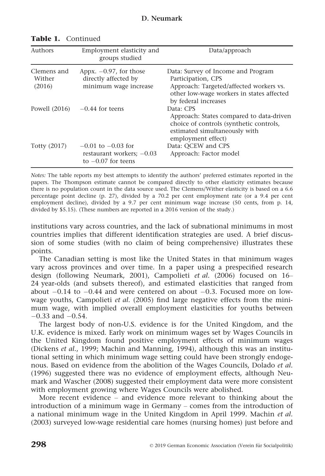| Authors                         | Employment elasticity and<br>groups studied                                   | Data/approach                                                                                                                                                            |
|---------------------------------|-------------------------------------------------------------------------------|--------------------------------------------------------------------------------------------------------------------------------------------------------------------------|
| Clemens and<br>Wither<br>(2016) | Appx. $-0.97$ , for those<br>directly affected by<br>minimum wage increase    | Data: Survey of Income and Program<br>Participation, CPS<br>Approach: Targeted/affected workers vs.<br>other low-wage workers in states affected<br>by federal increases |
| Powell $(2016)$                 | $-0.44$ for teens                                                             | Data: CPS<br>Approach: States compared to data-driven<br>choice of controls (synthetic controls,<br>estimated simultaneously with<br>employment effect)                  |
| Totty (2017)                    | $-0.01$ to $-0.03$ for<br>restaurant workers; $-0.03$<br>to $-0.07$ for teens | Data: QCEW and CPS<br>Approach: Factor model                                                                                                                             |

Table 1. Continued

Notes: The table reports my best attempts to identify the authors' preferred estimates reported in the papers. The Thompson estimate cannot be compared directly to other elasticity estimates because there is no population count in the data source used. The Clemens/Wither elasticity is based on a 6.6 percentage point decline (p. 27), divided by a 70.2 per cent employment rate (or a 9.4 per cent employment decline), divided by a 9.7 per cent minimum wage increase (50 cents, from p. 14, divided by \$5.15). (These numbers are reported in a 2016 version of the study.)

institutions vary across countries, and the lack of subnational minimums in most countries implies that different identification strategies are used. A brief discussion of some studies (with no claim of being comprehensive) illustrates these points.

The Canadian setting is most like the United States in that minimum wages vary across provinces and over time. In a paper using a prespecified research design (following Neumark, 2001), Campolieti et al. (2006) focused on 16– 24 year-olds (and subsets thereof), and estimated elasticities that ranged from about  $-0.14$  to  $-0.44$  and were centered on about  $-0.3$ . Focused more on lowwage youths, Campolieti et al. (2005) find large negative effects from the minimum wage, with implied overall employment elasticities for youths between  $-0.33$  and  $-0.54$ .

The largest body of non-U.S. evidence is for the United Kingdom, and the U.K. evidence is mixed. Early work on minimum wages set by Wages Councils in the United Kingdom found positive employment effects of minimum wages (Dickens et al., 1999; Machin and Manning, 1994), although this was an institutional setting in which minimum wage setting could have been strongly endogenous. Based on evidence from the abolition of the Wages Councils, Dolado et al. (1996) suggested there was no evidence of employment effects, although Neumark and Wascher (2008) suggested their employment data were more consistent with employment growing where Wages Councils were abolished.

More recent evidence – and evidence more relevant to thinking about the introduction of a minimum wage in Germany – comes from the introduction of a national minimum wage in the United Kingdom in April 1999. Machin et al. (2003) surveyed low-wage residential care homes (nursing homes) just before and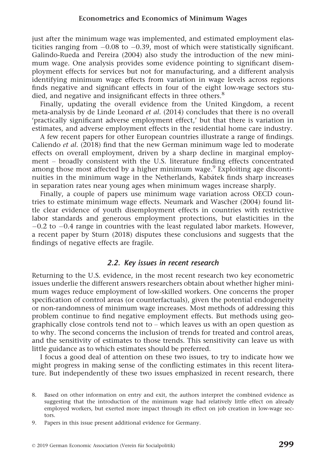just after the minimum wage was implemented, and estimated employment elasticities ranging from  $-0.08$  to  $-0.39$ , most of which were statistically significant. Galindo-Rueda and Pereira (2004) also study the introduction of the new minimum wage. One analysis provides some evidence pointing to significant disemployment effects for services but not for manufacturing, and a different analysis identifying minimum wage effects from variation in wage levels across regions finds negative and significant effects in four of the eight low-wage sectors studied, and negative and insignificant effects in three others.<sup>8</sup>

Finally, updating the overall evidence from the United Kingdom, a recent meta-analysis by de Linde Leonard et al. (2014) concludes that there is no overall 'practically significant adverse employment effect,' but that there is variation in estimates, and adverse employment effects in the residential home care industry.

A few recent papers for other European countries illustrate a range of findings. Caliendo et al. (2018) find that the new German minimum wage led to moderate effects on overall employment, driven by a sharp decline in marginal employment – broadly consistent with the U.S. literature finding effects concentrated among those most affected by a higher minimum wage.<sup>9</sup> Exploiting age discontinuities in the minimum wage in the Netherlands, Kabátek finds sharp increases in separation rates near young ages when minimum wages increase sharply.

Finally, a couple of papers use minimum wage variation across OECD countries to estimate minimum wage effects. Neumark and Wascher (2004) found little clear evidence of youth disemployment effects in countries with restrictive labor standards and generous employment protections, but elasticities in the  $-0.2$  to  $-0.4$  range in countries with the least regulated labor markets. However, a recent paper by Sturn (2018) disputes these conclusions and suggests that the findings of negative effects are fragile.

# 2.2. Key issues in recent research

Returning to the U.S. evidence, in the most recent research two key econometric issues underlie the different answers researchers obtain about whether higher minimum wages reduce employment of low-skilled workers. One concerns the proper specification of control areas (or counterfactuals), given the potential endogeneity or non-randomness of minimum wage increases. Most methods of addressing this problem continue to find negative employment effects. But methods using geographically close controls tend not to – which leaves us with an open question as to why. The second concerns the inclusion of trends for treated and control areas, and the sensitivity of estimates to those trends. This sensitivity can leave us with little guidance as to which estimates should be preferred.

I focus a good deal of attention on these two issues, to try to indicate how we might progress in making sense of the conflicting estimates in this recent literature. But independently of these two issues emphasized in recent research, there

<sup>8.</sup> Based on other information on entry and exit, the authors interpret the combined evidence as suggesting that the introduction of the minimum wage had relatively little effect on already employed workers, but exerted more impact through its effect on job creation in low-wage sectors.

<sup>9.</sup> Papers in this issue present additional evidence for Germany.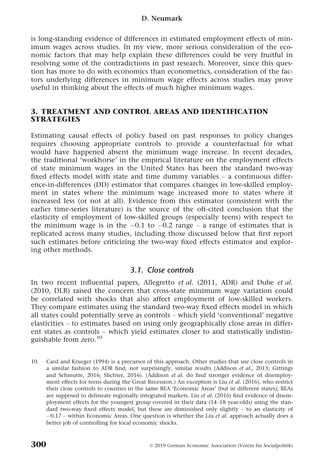is long-standing evidence of differences in estimated employment effects of minimum wages across studies. In my view, more serious consideration of the economic factors that may help explain these differences could be very fruitful in resolving some of the contradictions in past research. Moreover, since this question has more to do with economics than econometrics, consideration of the factors underlying differences in minimum wage effects across studies may prove useful in thinking about the effects of much higher minimum wages.

# 3. TREATMENT AND CONTROL AREAS AND IDENTIFICATION **STRATEGIES**

Estimating causal effects of policy based on past responses to policy changes requires choosing appropriate controls to provide a counterfactual for what would have happened absent the minimum wage increase. In recent decades, the traditional 'workhorse' in the empirical literature on the employment effects of state minimum wages in the United States has been the standard two-way fixed effects model with state and time dummy variables – a continuous difference-in-differences (DD) estimator that compares changes in low-skilled employment in states where the minimum wage increased more to states where it increased less (or not at all). Evidence from this estimator (consistent with the earlier time-series literature) is the source of the oft-cited conclusion that the elasticity of employment of low-skilled groups (especially teens) with respect to the minimum wage is in the  $-0.1$  to  $-0.2$  range – a range of estimates that is replicated across many studies, including those discussed below that first report such estimates before criticizing the two-way fixed effects estimator and exploring other methods.

# 3.1. Close controls

In two recent influential papers, Allegretto *et al.* (2011, ADR) and Dube *et al.* (2010, DLR) raised the concern that cross-state minimum wage variation could be correlated with shocks that also affect employment of low-skilled workers. They compare estimates using the standard two-way fixed effects model in which all states could potentially serve as controls – which yield 'conventional' negative elasticities – to estimates based on using only geographically close areas in different states as controls – which yield estimates closer to and statistically indistinguishable from zero. $10$ 

10. Card and Krueger (1994) is a precursor of this approach. Other studies that use close controls in a similar fashion to ADR find, not surprisingly, similar results (Addison et al., 2013; Gittings and Schmutte, 2016; Slichter, 2016). (Addison et al. do find stronger evidence of disemployment effects for teens during the Great Recession.) An exception is Liu et al. (2016), who restrict their close controls to counties in the same BEA 'Economic Areas' (but in different states); BEAs are supposed to delineate regionally integrated markets. Liu et al. (2016) find evidence of disemployment effects for the youngest group covered in their data (14–18 year-olds) using the standard two-way fixed effects model, but these are diminished only slightly – to an elasticity of  $-0.17$  – within Economic Areas. One question is whether the Liu *et al.* approach actually does a better job of controlling for local economic shocks.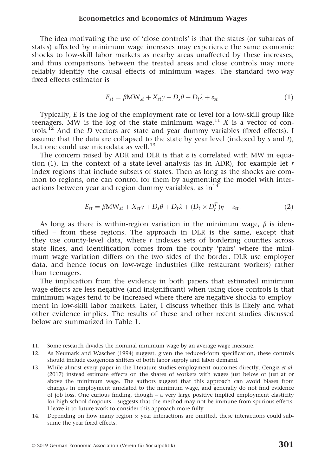### Econometrics and Economics of Minimum Wages

The idea motivating the use of 'close controls' is that the states (or subareas of states) affected by minimum wage increases may experience the same economic shocks to low-skill labor markets as nearby areas unaffected by these increases, and thus comparisons between the treated areas and close controls may more reliably identify the causal effects of minimum wages. The standard two-way fixed effects estimator is

$$
E_{st} = \beta \text{MW}_{st} + X_{st} \gamma + D_s \theta + D_t \lambda + \varepsilon_{st}.
$$
\n(1)

Typically, E is the log of the employment rate or level for a low-skill group like teenagers. MW is the log of the state minimum wage.<sup>11</sup> X is a vector of controls.<sup>12</sup> And the *D* vectors are state and year dummy variables (fixed effects). I assume that the data are collapsed to the state by year level (indexed by  $s$  and  $t$ ), but one could use microdata as well.<sup>13</sup>

The concern raised by ADR and DLR is that e is correlated with MW in equation (1). In the context of a state-level analysis (as in ADR), for example let  $r$ index regions that include subsets of states. Then as long as the shocks are common to regions, one can control for them by augmenting the model with interactions between year and region dummy variables, as  $in<sup>14</sup>$ 

$$
E_{st} = \beta \mathbf{M} \mathbf{W}_{st} + X_{st} \gamma + D_s \theta + D_t \lambda + (D_t \times D_t^T) \eta + \varepsilon_{st}.
$$
 (2)

As long as there is within-region variation in the minimum wage,  $\beta$  is identified – from these regions. The approach in DLR is the same, except that they use county-level data, where  $r$  indexes sets of bordering counties across state lines, and identification comes from the county 'pairs' where the minimum wage variation differs on the two sides of the border. DLR use employer data, and hence focus on low-wage industries (like restaurant workers) rather than teenagers.

The implication from the evidence in both papers that estimated minimum wage effects are less negative (and insignificant) when using close controls is that minimum wages tend to be increased where there are negative shocks to employment in low-skill labor markets. Later, I discuss whether this is likely and what other evidence implies. The results of these and other recent studies discussed below are summarized in Table 1.

- 11. Some research divides the nominal minimum wage by an average wage measure.
- 12. As Neumark and Wascher (1994) suggest, given the reduced-form specification, these controls should include exogenous shifters of both labor supply and labor demand.
- 13. While almost every paper in the literature studies employment outcomes directly, Cengiz et al. (2017) instead estimate effects on the shares of workers with wages just below or just at or above the minimum wage. The authors suggest that this approach can avoid biases from changes in employment unrelated to the minimum wage, and generally do not find evidence of job loss. One curious finding, though – a very large positive implied employment elasticity for high school dropouts – suggests that the method may not be immune from spurious effects. I leave it to future work to consider this approach more fully.
- 14. Depending on how many region  $\times$  year interactions are omitted, these interactions could subsume the year fixed effects.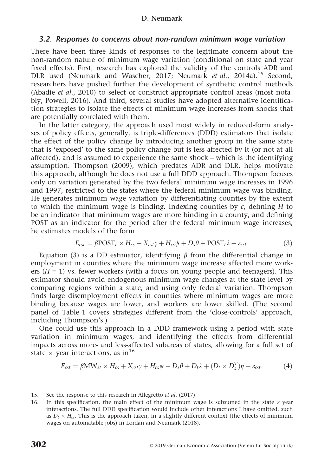### 3.2. Responses to concerns about non-random minimum wage variation

There have been three kinds of responses to the legitimate concern about the non-random nature of minimum wage variation (conditional on state and year fixed effects). First, research has explored the validity of the controls ADR and DLR used (Neumark and Wascher, 2017; Neumark et al., 2014a).<sup>15</sup> Second, researchers have pushed further the development of synthetic control methods (Abadie et al., 2010) to select or construct appropriate control areas (most notably, Powell, 2016). And third, several studies have adopted alternative identification strategies to isolate the effects of minimum wage increases from shocks that are potentially correlated with them.

In the latter category, the approach used most widely in reduced-form analyses of policy effects, generally, is triple-differences (DDD) estimators that isolate the effect of the policy change by introducing another group in the same state that is 'exposed' to the same policy change but is less affected by it (or not at all affected), and is assumed to experience the same shock – which is the identifying assumption. Thompson (2009), which predates ADR and DLR, helps motivate this approach, although he does not use a full DDD approach. Thompson focuses only on variation generated by the two federal minimum wage increases in 1996 and 1997, restricted to the states where the federal minimum wage was binding. He generates minimum wage variation by differentiating counties by the extent to which the minimum wage is binding. Indexing counties by  $c$ , defining  $H$  to be an indicator that minimum wages are more binding in a county, and defining POST as an indicator for the period after the federal minimum wage increases, he estimates models of the form

$$
E_{cst} = \beta \text{POST}_t \times H_{cs} + X_{cst} \gamma + H_{cs} \psi + D_s \theta + \text{POST}_t \lambda + \varepsilon_{cst}.
$$
 (3)

Equation (3) is a DD estimator, identifying  $\beta$  from the differential change in<br>unlowment in counties where the minimum wage increase affected more work. employment in counties where the minimum wage increase affected more workers ( $H = 1$ ) vs. fewer workers (with a focus on young people and teenagers). This estimator should avoid endogenous minimum wage changes at the state level by comparing regions within a state, and using only federal variation. Thompson finds large disemployment effects in counties where minimum wages are more binding because wages are lower, and workers are lower skilled. (The second panel of Table 1 covers strategies different from the 'close-controls' approach, including Thompson's.)

One could use this approach in a DDD framework using a period with state variation in minimum wages, and identifying the effects from differential impacts across more- and less-affected subareas of states, allowing for a full set of state  $\times$  year interactions, as in<sup>16</sup>

$$
E_{cst} = \beta \mathbf{M} \mathbf{W}_{st} \times H_{cs} + X_{cst} \gamma + H_{cs} \psi + D_s \theta + D_t \lambda + (D_t \times D_s^T) \eta + \varepsilon_{cst}.
$$
 (4)

15. See the response to this research in Allegretto et al. (2017).

<sup>16.</sup> In this specification, the main effect of the minimum wage is subsumed in the state  $\times$  year interactions. The full DDD specification would include other interactions I have omitted, such as  $D_t \times H_{cs}$ . This is the approach taken, in a slightly different context (the effects of minimum wages on automatable jobs) in Lordan and Neumark (2018).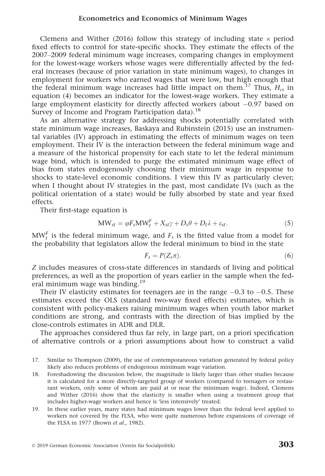### Econometrics and Economics of Minimum Wages

Clemens and Wither (2016) follow this strategy of including state  $\times$  period fixed effects to control for state-specific shocks. They estimate the effects of the 2007–2009 federal minimum wage increases, comparing changes in employment for the lowest-wage workers whose wages were differentially affected by the federal increases (because of prior variation in state minimum wages), to changes in employment for workers who earned wages that were low, but high enough that the federal minimum wage increases had little impact on them.<sup>17</sup> Thus,  $H_{cs}$  in equation (4) becomes an indicator for the lowest-wage workers. They estimate a large employment elasticity for directly affected workers (about  $-0.97$  based on Survey of Income and Program Participation data).<sup>18</sup>

As an alternative strategy for addressing shocks potentially correlated with state minimum wage increases, Baskaya and Rubinstein (2015) use an instrumental variables (IV) approach in estimating the effects of minimum wages on teen employment. Their IV is the interaction between the federal minimum wage and a measure of the historical propensity for each state to let the federal minimum wage bind, which is intended to purge the estimated minimum wage effect of bias from states endogenously choosing their minimum wage in response to shocks to state-level economic conditions. I view this IV as particularly clever; when I thought about IV strategies in the past, most candidate IVs (such as the political orientation of a state) would be fully absorbed by state and year fixed effects.

Their first-stage equation is

$$
MW_{st} = \varphi F_s MW_t^F + X_{st} \gamma + D_s \theta + D_t \lambda + \varepsilon_{st}.
$$
\n(5)

 $\text{MW}_t^F$  is the federal minimum wage, and  $F_s$  is the fitted value from a model for the probability that legislators allow the federal minimum to bind in the state

$$
F_s = P(Z_s \pi). \tag{6}
$$

Z includes measures of cross-state differences in standards of living and political preferences, as well as the proportion of years earlier in the sample when the federal minimum wage was binding.<sup>19</sup>

Their IV elasticity estimates for teenagers are in the range  $-0.3$  to  $-0.5$ . These estimates exceed the OLS (standard two-way fixed effects) estimates, which is consistent with policy-makers raising minimum wages when youth labor market conditions are strong, and contrasts with the direction of bias implied by the close-controls estimates in ADR and DLR.

The approaches considered thus far rely, in large part, on a priori specification of alternative controls or a priori assumptions about how to construct a valid

- 17. Similar to Thompson (2009), the use of contemporaneous variation generated by federal policy likely also reduces problems of endogenous minimum wage variation.
- 18. Foreshadowing the discussion below, the magnitude is likely larger than other studies because it is calculated for a more directly-targeted group of workers (compared to teenagers or restaurant workers, only some of whom are paid at or near the minimum wage). Indeed, Clemens and Wither (2016) show that the elasticity is smaller when using a treatment group that includes higher-wage workers and hence is 'less intensively' treated.
- 19. In these earlier years, many states had minimum wages lower than the federal level applied to workers not covered by the FLSA, who were quite numerous before expansions of coverage of the FLSA in 1977 (Brown et al., 1982).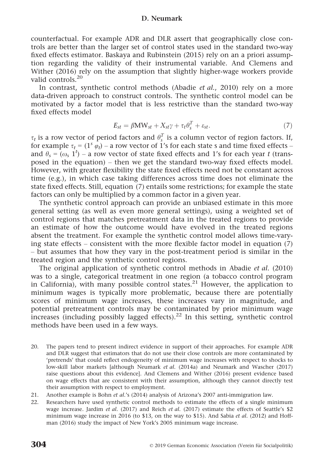counterfactual. For example ADR and DLR assert that geographically close controls are better than the larger set of control states used in the standard two-way fixed effects estimator. Baskaya and Rubinstein (2015) rely on an a priori assumption regarding the validity of their instrumental variable. And Clemens and Wither (2016) rely on the assumption that slightly higher-wage workers provide valid controls.<sup>20</sup>

In contrast, synthetic control methods (Abadie et al., 2010) rely on a more data-driven approach to construct controls. The synthetic control model can be motivated by a factor model that is less restrictive than the standard two-way fixed effects model

$$
E_{st} = \beta \mathbf{M} \mathbf{W}_{st} + X_{st} \gamma + \tau_t \theta_s^T + \varepsilon_{st}.
$$
\n<sup>(7)</sup>

 $\tau_t$  is a row vector of period factors and  $\theta_s^T$  is a column vector of region factors. If,<br>for example  $\tau_t = (1^5 \omega_t) - a$  row vector of 1's for each state s and time fixed effects for example  $\tau_t = (1^s \varphi_t) - a$  row vector of 1's for each state s and time fixed effects – and  $\theta_s = (\omega_s \ 1^t) - a$  row vector of state fixed effects and 1's for each year t (trans-<br>posed in the equation) – then we get the standard two-way fixed effects model posed in the equation) – then we get the standard two-way fixed effects model. However, with greater flexibility the state fixed effects need not be constant across time (e.g.), in which case taking differences across time does not eliminate the state fixed effects. Still, equation (7) entails some restrictions; for example the state factors can only be multiplied by a common factor in a given year.

The synthetic control approach can provide an unbiased estimate in this more general setting (as well as even more general settings), using a weighted set of control regions that matches pretreatment data in the treated regions to provide an estimate of how the outcome would have evolved in the treated regions absent the treatment. For example the synthetic control model allows time-varying state effects – consistent with the more flexible factor model in equation (7) – but assumes that how they vary in the post-treatment period is similar in the treated region and the synthetic control regions.

The original application of synthetic control methods in Abadie et al. (2010) was to a single, categorical treatment in one region (a tobacco control program in California), with many possible control states.<sup>21</sup> However, the application to minimum wages is typically more problematic, because there are potentially scores of minimum wage increases, these increases vary in magnitude, and potential pretreatment controls may be contaminated by prior minimum wage increases (including possibly lagged effects).<sup>22</sup> In this setting, synthetic control methods have been used in a few ways.

- 20. The papers tend to present indirect evidence in support of their approaches. For example ADR and DLR suggest that estimators that do not use their close controls are more contaminated by 'pretrends' that could reflect endogeneity of minimum wage increases with respect to shocks to low-skill labor markets [although Neumark et al. (2014a) and Neumark and Wascher (2017) raise questions about this evidence]. And Clemens and Wither (2016) present evidence based on wage effects that are consistent with their assumption, although they cannot directly test their assumption with respect to employment.
- 21. Another example is Bohn et al.'s (2014) analysis of Arizona's 2007 anti-immigration law.
- 22. Researchers have used synthetic control methods to estimate the effects of a single minimum wage increase. Jardim et al. (2017) and Reich et al. (2017) estimate the effects of Seattle's  $$2$ minimum wage increase in 2016 (to \$13, on the way to \$15). And Sabia *et al.* (2012) and Hoffman (2016) study the impact of New York's 2005 minimum wage increase.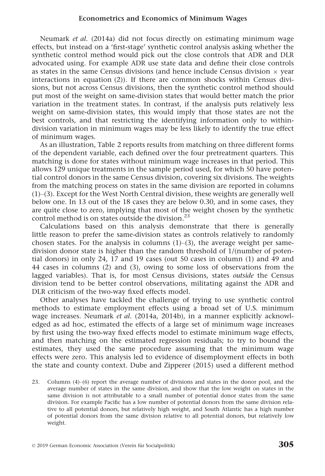Neumark et al. (2014a) did not focus directly on estimating minimum wage effects, but instead on a 'first-stage' synthetic control analysis asking whether the synthetic control method would pick out the close controls that ADR and DLR advocated using. For example ADR use state data and define their close controls as states in the same Census divisions (and hence include Census division  $\times$  year interactions in equation (2)). If there are common shocks within Census divisions, but not across Census divisions, then the synthetic control method should put most of the weight on same-division states that would better match the prior variation in the treatment states. In contrast, if the analysis puts relatively less weight on same-division states, this would imply that those states are not the best controls, and that restricting the identifying information only to withindivision variation in minimum wages may be less likely to identify the true effect of minimum wages.

As an illustration, Table 2 reports results from matching on three different forms of the dependent variable, each defined over the four pretreatment quarters. This matching is done for states without minimum wage increases in that period. This allows 129 unique treatments in the sample period used, for which 50 have potential control donors in the same Census division, covering six divisions. The weights from the matching process on states in the same division are reported in columns (1)–(3). Except for the West North Central division, these weights are generally well below one. In 13 out of the 18 cases they are below 0.30, and in some cases, they are quite close to zero, implying that most of the weight chosen by the synthetic control method is on states outside the division.<sup>23</sup>

Calculations based on this analysis demonstrate that there is generally little reason to prefer the same-division states as controls relatively to randomly chosen states. For the analysis in columns  $(1)$ – $(3)$ , the average weight per samedivision donor state is higher than the random threshold of 1/(number of potential donors) in only 24, 17 and 19 cases (out 50 cases in column (1) and 49 and 44 cases in columns (2) and (3), owing to some loss of observations from the lagged variables). That is, for most Census divisions, states outside the Census division tend to be better control observations, militating against the ADR and DLR criticism of the two-way fixed effects model.

Other analyses have tackled the challenge of trying to use synthetic control methods to estimate employment effects using a broad set of U.S. minimum wage increases. Neumark et al. (2014a, 2014b), in a manner explicitly acknowledged as ad hoc, estimated the effects of a large set of minimum wage increases by first using the two-way fixed effects model to estimate minimum wage effects, and then matching on the estimated regression residuals; to try to bound the estimates, they used the same procedure assuming that the minimum wage effects were zero. This analysis led to evidence of disemployment effects in both the state and county context. Dube and Zipperer (2015) used a different method

23. Columns (4)–(6) report the average number of divisions and states in the donor pool, and the average number of states in the same division, and show that the low weight on states in the same division is not attributable to a small number of potential donor states from the same division. For example Pacific has a low number of potential donors from the same division relative to all potential donors, but relatively high weight, and South Atlantic has a high number of potential donors from the same division relative to all potential donors, but relatively low weight.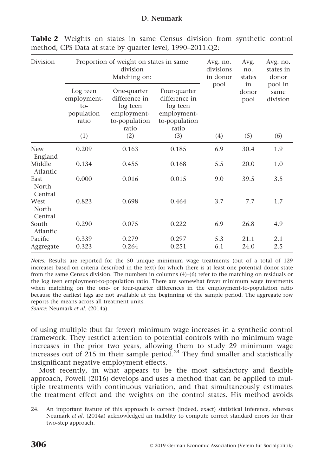| Division                 |                                                          | Proportion of weight on states in same<br>division<br>Matching on:                |                                                                                    | Avg. no.<br>divisions<br>in donor | Avg.<br>no.<br>states | Avg. no.<br>states in<br>donor |
|--------------------------|----------------------------------------------------------|-----------------------------------------------------------------------------------|------------------------------------------------------------------------------------|-----------------------------------|-----------------------|--------------------------------|
|                          | Log teen<br>employment-<br>$to$ -<br>population<br>ratio | One-quarter<br>difference in<br>log teen<br>employment-<br>to-population<br>ratio | Four-quarter<br>difference in<br>log teen<br>employment-<br>to-population<br>ratio | pool                              | in<br>donor<br>pool   | pool in<br>same<br>division    |
|                          | (1)                                                      | (2)                                                                               | (3)                                                                                | (4)                               | (5)                   | (6)                            |
| <b>New</b><br>England    | 0.209                                                    | 0.163                                                                             | 0.185                                                                              | 6.9                               | 30.4                  | 1.9                            |
| Middle<br>Atlantic       | 0.134                                                    | 0.455                                                                             | 0.168                                                                              | 5.5                               | 20.0                  | 1.0                            |
| East<br>North<br>Central | 0.000                                                    | 0.016                                                                             | 0.015                                                                              | 9.0                               | 39.5                  | 3.5                            |
| West<br>North<br>Central | 0.823                                                    | 0.698                                                                             | 0.464                                                                              | 3.7                               | 7.7                   | 1.7                            |
| South<br>Atlantic        | 0.290                                                    | 0.075                                                                             | 0.222                                                                              | 6.9                               | 26.8                  | 4.9                            |
| Pacific<br>Aggregate     | 0.339<br>0.323                                           | 0.279<br>0.264                                                                    | 0.297<br>0.251                                                                     | 5.3<br>6.1                        | 21.1<br>24.0          | 2.1<br>2.5                     |

Table 2 Weights on states in same Census division from synthetic control method, CPS Data at state by quarter level, 1990–2011:Q2:

Notes: Results are reported for the 50 unique minimum wage treatments (out of a total of 129 increases based on criteria described in the text) for which there is at least one potential donor state from the same Census division. The numbers in columns (4)–(6) refer to the matching on residuals or the log teen employment-to-population ratio. There are somewhat fewer minimum wage treatments when matching on the one- or four-quarter differences in the employment-to-population ratio because the earliest lags are not available at the beginning of the sample period. The aggregate row reports the means across all treatment units.

Source: Neumark et al. (2014a).

of using multiple (but far fewer) minimum wage increases in a synthetic control framework. They restrict attention to potential controls with no minimum wage increases in the prior two years, allowing them to study 29 minimum wage increases out of 215 in their sample period.<sup>24</sup> They find smaller and statistically insignificant negative employment effects.

Most recently, in what appears to be the most satisfactory and flexible approach, Powell (2016) develops and uses a method that can be applied to multiple treatments with continuous variation, and that simultaneously estimates the treatment effect and the weights on the control states. His method avoids

<sup>24.</sup> An important feature of this approach is correct (indeed, exact) statistical inference, whereas Neumark et al. (2014a) acknowledged an inability to compute correct standard errors for their two-step approach.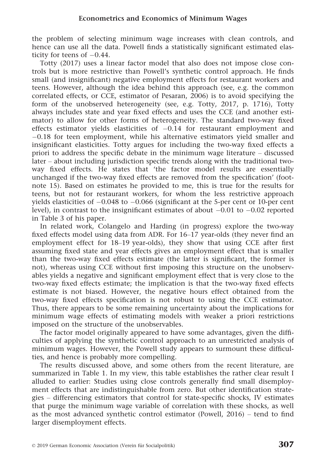the problem of selecting minimum wage increases with clean controls, and hence can use all the data. Powell finds a statistically significant estimated elasticity for teens of  $-0.44$ .

Totty (2017) uses a linear factor model that also does not impose close controls but is more restrictive than Powell's synthetic control approach. He finds small (and insignificant) negative employment effects for restaurant workers and teens. However, although the idea behind this approach (see, e.g. the common correlated effects, or CCE, estimator of Pesaran, 2006) is to avoid specifying the form of the unobserved heterogeneity (see, e.g. Totty, 2017, p. 1716), Totty always includes state and year fixed effects and uses the CCE (and another estimator) to allow for other forms of heterogeneity. The standard two-way fixed effects estimator yields elasticities of  $-0.14$  for restaurant employment and  $-0.18$  for teen employment, while his alternative estimators yield smaller and insignificant elasticities. Totty argues for including the two-way fixed effects a priori to address the specific debate in the minimum wage literature – discussed later – about including jurisdiction specific trends along with the traditional twoway fixed effects. He states that 'the factor model results are essentially unchanged if the two-way fixed effects are removed from the specification' (footnote 15). Based on estimates he provided to me, this is true for the results for teens, but not for restaurant workers, for whom the less restrictive approach yields elasticities of  $-0.048$  to  $-0.066$  (significant at the 5-per cent or 10-per cent level), in contrast to the insignificant estimates of about  $-0.01$  to  $-0.02$  reported in Table 3 of his paper.

In related work, Colangelo and Harding (in progress) explore the two-way fixed effects model using data from ADR. For 16–17 year-olds (they never find an employment effect for 18–19 year-olds), they show that using CCE after first assuming fixed state and year effects gives an employment effect that is smaller than the two-way fixed effects estimate (the latter is significant, the former is not), whereas using CCE without first imposing this structure on the unobservables yields a negative and significant employment effect that is very close to the two-way fixed effects estimate; the implication is that the two-way fixed effects estimate is not biased. However, the negative hours effect obtained from the two-way fixed effects specification is not robust to using the CCE estimator. Thus, there appears to be some remaining uncertainty about the implications for minimum wage effects of estimating models with weaker a priori restrictions imposed on the structure of the unobservables.

The factor model originally appeared to have some advantages, given the difficulties of applying the synthetic control approach to an unrestricted analysis of minimum wages. However, the Powell study appears to surmount these difficulties, and hence is probably more compelling.

The results discussed above, and some others from the recent literature, are summarized in Table 1. In my view, this table establishes the rather clear result I alluded to earlier: Studies using close controls generally find small disemployment effects that are indistinguishable from zero. But other identification strategies – differencing estimators that control for state-specific shocks, IV estimates that purge the minimum wage variable of correlation with these shocks, as well as the most advanced synthetic control estimator (Powell, 2016) – tend to find larger disemployment effects.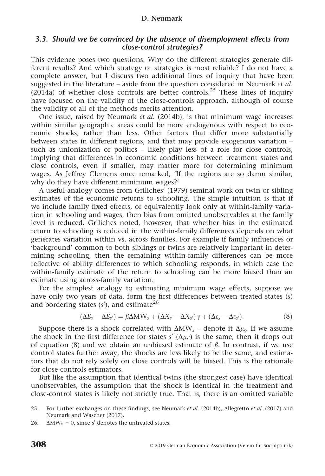### 3.3. Should we be convinced by the absence of disemployment effects from close-control strategies?

This evidence poses two questions: Why do the different strategies generate different results? And which strategy or strategies is most reliable? I do not have a complete answer, but I discuss two additional lines of inquiry that have been suggested in the literature – aside from the question considered in Neumark *et al.*  $(2014a)$  of whether close controls are better controls.<sup>25</sup> These lines of inquiry have focused on the validity of the close-controls approach, although of course the validity of all of the methods merits attention.

One issue, raised by Neumark *et al.* (2014b), is that minimum wage increases within similar geographic areas could be more endogenous with respect to economic shocks, rather than less. Other factors that differ more substantially between states in different regions, and that may provide exogenous variation – such as unionization or politics – likely play less of a role for close controls, implying that differences in economic conditions between treatment states and close controls, even if smaller, may matter more for determining minimum wages. As Jeffrey Clemens once remarked, 'If the regions are so damn similar, why do they have different minimum wages?'

A useful analogy comes from Griliches' (1979) seminal work on twin or sibling estimates of the economic returns to schooling. The simple intuition is that if we include family fixed effects, or equivalently look only at within-family variation in schooling and wages, then bias from omitted unobservables at the family level is reduced. Griliches noted, however, that whether bias in the estimated return to schooling is reduced in the within-family differences depends on what generates variation within vs. across families. For example if family influences or 'background' common to both siblings or twins are relatively important in determining schooling, then the remaining within-family differences can be more reflective of ability differences to which schooling responds, in which case the within-family estimate of the return to schooling can be more biased than an estimate using across-family variation.

For the simplest analogy to estimating minimum wage effects, suppose we have only two years of data, form the first differences between treated states (s) and bordering states  $(s')$ , and estimate<sup>26</sup>

$$
(\Delta E_s - \Delta E_{s'}) = \beta \Delta MW_s + (\Delta X_s - \Delta X_{s'}) \gamma + (\Delta \varepsilon_s - \Delta \varepsilon_{s'}).
$$
\n(8)

Suppose there is a shock correlated with  $\Delta MW_s$  – denote it  $\Delta \mu_s$ . If we assume a shock in the first difference for states s'  $(\Delta \mu_s)$  is the same then it drops out the shock in the first difference for states s' ( $\Delta \mu_s$ ) is the same, then it drops out of equation (8) and we obtain an unbiased estimate of  $\beta$ . In contrast, if we use control states further away, the shocks are less likely to be the same, and estimators that do not rely solely on close controls will be biased. This is the rationale for close-controls estimators.

But like the assumption that identical twins (the strongest case) have identical unobservables, the assumption that the shock is identical in the treatment and close-control states is likely not strictly true. That is, there is an omitted variable

- 25. For further exchanges on these findings, see Neumark et al. (2014b), Allegretto et al. (2017) and Neumark and Wascher (2017).
- 26.  $\Delta MW_{s'} = 0$ , since s' denotes the untreated states.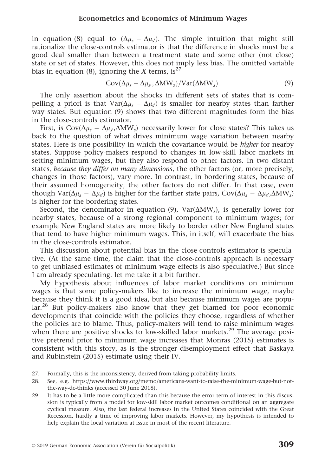### Econometrics and Economics of Minimum Wages

in equation (8) equal to  $(\Delta \mu_s - \Delta \mu_{s})$ . The simple intuition that might still rationalize the close-controls estimator is that the difference in shocks must be a good deal smaller than between a treatment state and some other (not close) state or set of states. However, this does not imply less bias. The omitted variable bias in equation (8), ignoring the X terms, is<sup>27</sup>

$$
Cov(\Delta \mu_s - \Delta \mu_{s'}, \Delta MW_s)/Var(\Delta MW_s). \qquad (9)
$$

The only assertion about the shocks in different sets of states that is compelling a priori is that  $\text{Var}(\Delta \mu_s - \Delta \mu_{s'})$  is smaller for nearby states than farther way states. But equation (9) shows that two different magnitudes form the bias in the close-controls estimator.

First, is  $Cov(\Delta \mu_s - \Delta \mu_{s'}\Delta MW_s)$  necessarily lower for close states? This takes us back to the question of what drives minimum wage variation between nearby states. Here is one possibility in which the covariance would be higher for nearby states. Suppose policy-makers respond to changes in low-skill labor markets in setting minimum wages, but they also respond to other factors. In two distant states, because they differ on many dimensions, the other factors (or, more precisely, changes in those factors), vary more. In contrast, in bordering states, because of their assumed homogeneity, the other factors do not differ. In that case, even though Var( $\Delta \mu_s - \Delta \mu_{s'}$ ) is higher for the farther state pairs, Cov( $\Delta \mu_s - \Delta \mu_{s'}\Delta MW_s$ ) is higher for the bordering states.

Second, the denominator in equation (9),  $Var(\Delta MW_s)$ , is generally lower for nearby states, because of a strong regional component to minimum wages; for example New England states are more likely to border other New England states that tend to have higher minimum wages. This, in itself, will exacerbate the bias in the close-controls estimator.

This discussion about potential bias in the close-controls estimator is speculative. (At the same time, the claim that the close-controls approach is necessary to get unbiased estimates of minimum wage effects is also speculative.) But since I am already speculating, let me take it a bit further.

My hypothesis about influences of labor market conditions on minimum wages is that some policy-makers like to increase the minimum wage, maybe because they think it is a good idea, but also because minimum wages are popular.<sup>28</sup> But policy-makers also know that they get blamed for poor economic developments that coincide with the policies they choose, regardless of whether the policies are to blame. Thus, policy-makers will tend to raise minimum wages when there are positive shocks to low-skilled labor markets.<sup>29</sup> The average positive pretrend prior to minimum wage increases that Monras (2015) estimates is consistent with this story, as is the stronger disemployment effect that Baskaya and Rubinstein (2015) estimate using their IV.

- 27. Formally, this is the inconsistency, derived from taking probability limits.
- 28. See, e.g. [https://www.thirdway.org/memo/americans-want-to-raise-the-minimum-wage-but-not](https://www.thirdway.org/memo/americans-want-to-raise-the-minimum-wage-but-not-the-way-dc-thinks)[the-way-dc-thinks](https://www.thirdway.org/memo/americans-want-to-raise-the-minimum-wage-but-not-the-way-dc-thinks) (accessed 30 June 2018).
- 29. It has to be a little more complicated than this because the error term of interest in this discussion is typically from a model for low-skill labor market outcomes conditional on an aggregate cyclical measure. Also, the last federal increases in the United States coincided with the Great Recession, hardly a time of improving labor markets. However, my hypothesis is intended to help explain the local variation at issue in most of the recent literature.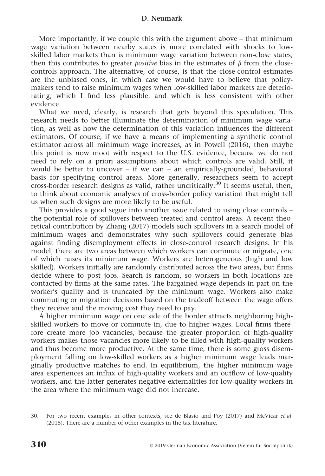More importantly, if we couple this with the argument above – that minimum wage variation between nearby states is more correlated with shocks to lowskilled labor markets than is minimum wage variation between non-close states, then this contributes to greater *positive* bias in the estimates of  $\beta$  from the closecontrols approach. The alternative, of course, is that the close-control estimates are the unbiased ones, in which case we would have to believe that policymakers tend to raise minimum wages when low-skilled labor markets are deteriorating, which I find less plausible, and which is less consistent with other evidence.

What we need, clearly, is research that gets beyond this speculation. This research needs to better illuminate the determination of minimum wage variation, as well as how the determination of this variation influences the different estimators. Of course, if we have a means of implementing a synthetic control estimator across all minimum wage increases, as in Powell (2016), then maybe this point is now moot with respect to the U.S. evidence, because we do not need to rely on a priori assumptions about which controls are valid. Still, it would be better to uncover – if we can – an empirically-grounded, behavioral basis for specifying control areas. More generally, researchers seem to accept cross-border research designs as valid, rather uncritically.<sup>30</sup> It seems useful, then, to think about economic analyses of cross-border policy variation that might tell us when such designs are more likely to be useful.

This provides a good segue into another issue related to using close controls – the potential role of spillovers between treated and control areas. A recent theoretical contribution by Zhang (2017) models such spillovers in a search model of minimum wages and demonstrates why such spillovers could generate bias against finding disemployment effects in close-control research designs. In his model, there are two areas between which workers can commute or migrate, one of which raises its minimum wage. Workers are heterogeneous (high and low skilled). Workers initially are randomly distributed across the two areas, but firms decide where to post jobs. Search is random, so workers in both locations are contacted by firms at the same rates. The bargained wage depends in part on the worker's quality and is truncated by the minimum wage. Workers also make commuting or migration decisions based on the tradeoff between the wage offers they receive and the moving cost they need to pay.

A higher minimum wage on one side of the border attracts neighboring highskilled workers to move or commute in, due to higher wages. Local firms therefore create more job vacancies, because the greater proportion of high-quality workers makes those vacancies more likely to be filled with high-quality workers and thus become more productive. At the same time, there is some gross disemployment falling on low-skilled workers as a higher minimum wage leads marginally productive matches to end. In equilibrium, the higher minimum wage area experiences an influx of high-quality workers and an outflow of low-quality workers, and the latter generates negative externalities for low-quality workers in the area where the minimum wage did not increase.

<sup>30.</sup> For two recent examples in other contexts, see de Blasio and Poy (2017) and McVicar et al. (2018). There are a number of other examples in the tax literature.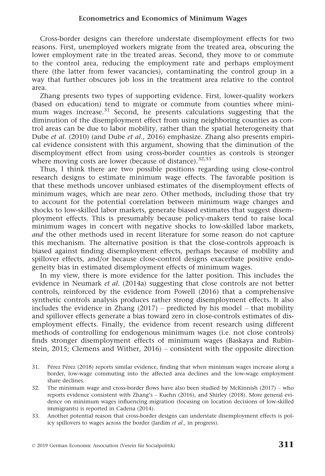Cross-border designs can therefore understate disemployment effects for two reasons. First, unemployed workers migrate from the treated area, obscuring the lower employment rate in the treated areas. Second, they move to or commute to the control area, reducing the employment rate and perhaps employment there (the latter from fewer vacancies), contaminating the control group in a way that further obscures job loss in the treatment area relative to the control area.

Zhang presents two types of supporting evidence. First, lower-quality workers (based on education) tend to migrate or commute from counties where minimum wages increase.<sup>31</sup> Second, he presents calculations suggesting that the diminution of the disemployment effect from using neighboring counties as control areas can be due to labor mobility, rather than the spatial heterogeneity that Dube et al. (2010) (and Dube et al., 2016) emphasize. Zhang also presents empirical evidence consistent with this argument, showing that the diminution of the disemployment effect from using cross-border counties as controls is stronger where moving costs are lower (because of distance).  $32,33$ 

Thus, I think there are two possible positions regarding using close-control research designs to estimate minimum wage effects. The favorable position is that these methods uncover unbiased estimates of the disemployment effects of minimum wages, which are near zero. Other methods, including those that try to account for the potential correlation between minimum wage changes and shocks to low-skilled labor markets, generate biased estimates that suggest disemployment effects. This is presumably because policy-makers tend to raise local minimum wages in concert with negative shocks to low-skilled labor markets, and the other methods used in recent literature for some reason do not capture this mechanism. The alternative position is that the close-controls approach is biased against finding disemployment effects, perhaps because of mobility and spillover effects, and/or because close-control designs exacerbate positive endogeneity bias in estimated disemployment effects of minimum wages.

In my view, there is more evidence for the latter position. This includes the evidence in Neumark *et al.* (2014a) suggesting that close controls are not better controls, reinforced by the evidence from Powell (2016) that a comprehensive synthetic controls analysis produces rather strong disemployment effects. It also includes the evidence in Zhang  $(2017)$  – predicted by his model – that mobility and spillover effects generate a bias toward zero in close-controls estimates of disemployment effects. Finally, the evidence from recent research using different methods of controlling for endogenous minimum wages (i.e. not close controls) finds stronger disemployment effects of minimum wages (Baskaya and Rubinstein, 2015; Clemens and Wither, 2016) – consistent with the opposite direction

- $31.$ érez Pérez (2018) reports similar evidence, finding that when minimum wages increase along a border, low-wage commuting into the affected area declines and the low-wage employment share declines.
- 32. The minimum wage and cross-border flows have also been studied by McKinnish (2017) who reports evidence consistent with Zhang's – Kuehn (2016), and Shirley (2018). More general evidence on minimum wages influencing migration (focusing on location decisions of low-skilled immigrants) is reported in Cadena (2014).
- 33. Another potential reason that cross-border designs can understate disemployment effects is policy spillovers to wages across the border (Jardim et al., in progress).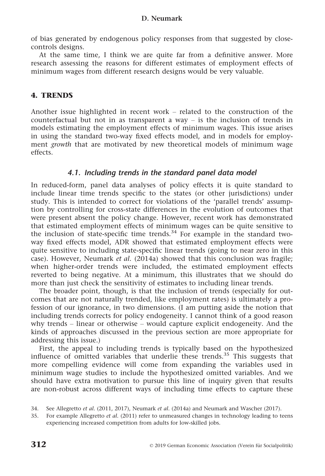of bias generated by endogenous policy responses from that suggested by closecontrols designs.

At the same time, I think we are quite far from a definitive answer. More research assessing the reasons for different estimates of employment effects of minimum wages from different research designs would be very valuable.

# 4. TRENDS

Another issue highlighted in recent work – related to the construction of the counterfactual but not in as transparent a way – is the inclusion of trends in models estimating the employment effects of minimum wages. This issue arises in using the standard two-way fixed effects model, and in models for employment growth that are motivated by new theoretical models of minimum wage effects.

# 4.1. Including trends in the standard panel data model

In reduced-form, panel data analyses of policy effects it is quite standard to include linear time trends specific to the states (or other jurisdictions) under study. This is intended to correct for violations of the 'parallel trends' assumption by controlling for cross-state differences in the evolution of outcomes that were present absent the policy change. However, recent work has demonstrated that estimated employment effects of minimum wages can be quite sensitive to the inclusion of state-specific time trends.<sup>34</sup> For example in the standard twoway fixed effects model, ADR showed that estimated employment effects were quite sensitive to including state-specific linear trends (going to near zero in this case). However, Neumark et al. (2014a) showed that this conclusion was fragile; when higher-order trends were included, the estimated employment effects reverted to being negative. At a minimum, this illustrates that we should do more than just check the sensitivity of estimates to including linear trends.

The broader point, though, is that the inclusion of trends (especially for outcomes that are not naturally trended, like employment rates) is ultimately a profession of our ignorance, in two dimensions. (I am putting aside the notion that including trends corrects for policy endogeneity. I cannot think of a good reason why trends – linear or otherwise – would capture explicit endogeneity. And the kinds of approaches discussed in the previous section are more appropriate for addressing this issue.)

First, the appeal to including trends is typically based on the hypothesized influence of omitted variables that underlie these trends.<sup>35</sup> This suggests that more compelling evidence will come from expanding the variables used in minimum wage studies to include the hypothesized omitted variables. And we should have extra motivation to pursue this line of inquiry given that results are non-robust across different ways of including time effects to capture these

<sup>34.</sup> See Allegretto et al. (2011, 2017), Neumark et al. (2014a) and Neumark and Wascher (2017).

<sup>35.</sup> For example Allegretto *et al.* (2011) refer to unmeasured changes in technology leading to teens experiencing increased competition from adults for low-skilled jobs.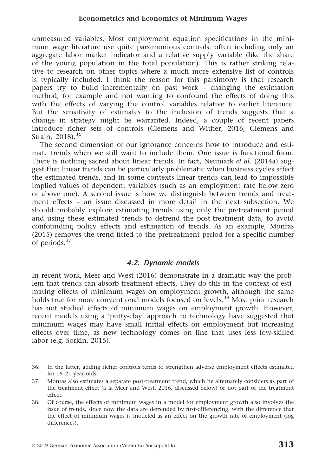unmeasured variables. Most employment equation specifications in the minimum wage literature use quite parsimonious controls, often including only an aggregate labor market indicator and a relative supply variable (like the share of the young population in the total population). This is rather striking relative to research on other topics where a much more extensive list of controls is typically included. I think the reason for this parsimony is that research papers try to build incrementally on past work – changing the estimation method, for example and not wanting to confound the effects of doing this with the effects of varying the control variables relative to earlier literature. But the sensitivity of estimates to the inclusion of trends suggests that a change in strategy might be warranted. Indeed, a couple of recent papers introduce richer sets of controls (Clemens and Wither, 2016; Clemens and Strain, 2018).<sup>36</sup>

The second dimension of our ignorance concerns how to introduce and estimate trends when we still want to include them. One issue is functional form. There is nothing sacred about linear trends. In fact, Neumark *et al.* (2014a) suggest that linear trends can be particularly problematic when business cycles affect the estimated trends, and in some contexts linear trends can lead to impossible implied values of dependent variables (such as an employment rate below zero or above one). A second issue is how we distinguish between trends and treatment effects – an issue discussed in more detail in the next subsection. We should probably explore estimating trends using only the pretreatment period and using these estimated trends to detrend the post-treatment data, to avoid confounding policy effects and estimation of trends. As an example, Monras (2015) removes the trend fitted to the pretreatment period for a specific number of periods.<sup>37</sup>

# 4.2. Dynamic models

In recent work, Meer and West (2016) demonstrate in a dramatic way the problem that trends can absorb treatment effects. They do this in the context of estimating effects of minimum wages on employment growth, although the same holds true for more conventional models focused on levels.<sup>38</sup> Most prior research has not studied effects of minimum wages on employment growth. However, recent models using a 'putty-clay' approach to technology have suggested that minimum wages may have small initial effects on employment but increasing effects over time, as new technology comes on line that uses less low-skilled labor (e.g. Sorkin, 2015).

<sup>36.</sup> In the latter, adding richer controls tends to strengthen adverse employment effects estimated for 16–21 year-olds.

<sup>37.</sup> Monras also estimates a separate post-treatment trend, which he alternately considers as part of the treatment effect (a la Meer and West, 2016, discussed below) or not part of the treatment effect.

<sup>38.</sup> Of course, the effects of minimum wages in a model for employment growth also involves the issue of trends, since now the data are detrended by first-differencing, with the difference that the effect of minimum wages is modeled as an effect on the growth rate of employment (log differences).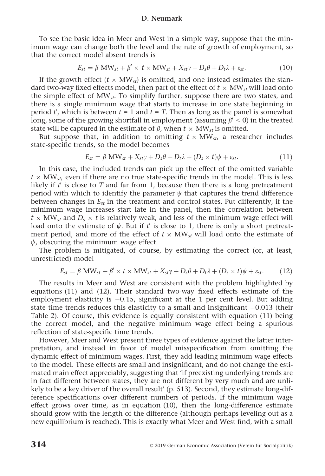To see the basic idea in Meer and West in a simple way, suppose that the minimum wage can change both the level and the rate of growth of employment, so that the correct model absent trends is

$$
E_{st} = \beta \text{ MW}_{st} + \beta' \times t \times \text{MW}_{st} + X_{st} \gamma + D_s \theta + D_t \lambda + \varepsilon_{st}.
$$
 (10)

If the growth effect  $(t \times MW_{st})$  is omitted, and one instead estimates the standard two-way fixed effects model, then part of the effect of  $t \times MW_{st}$  will load onto the simple effect of  $MW_{st}$ . To simplify further, suppose there are two states, and there is a single minimum wage that starts to increase in one state beginning in period t', which is between  $t = 1$  and  $t = T$ . Then as long as the panel is somewhat long, some of the growing shortfall in employment (assuming  $\beta' < 0$ ) in the treated state will be captured in the estimate of  $\beta$ , when  $t \times MW_{st}$  is omitted.

But suppose that, in addition to omitting  $t \times MW_{st}$  a researcher includes state-specific trends, so the model becomes

$$
E_{st} = \beta \text{ MW}_{st} + X_{st} \gamma + D_s \theta + D_t \lambda + (D_s \times t) \psi + \varepsilon_{st}.
$$
 (11)

In this case, the included trends can pick up the effect of the omitted variable  $t \times MW_{st}$ , even if there are no true state-specific trends in the model. This is less likely if  $t'$  is close to T and far from 1, because then there is a long pretreatment period with which to identify the parameter  $\psi$  that captures the trend difference between changes in  $E_{st}$  in the treatment and control states. Put differently, if the minimum wage increases start late in the panel, then the correlation between  $t \times MW_{st}$  and  $D_s \times t$  is relatively weak, and less of the minimum wage effect will load onto the estimate of  $\psi$ . But if  $t'$  is close to 1, there is only a short pretreat-<br>ment period, and more of the effect of  $t \times MW$ , will load onto the estimate of ment period, and more of the effect of  $t \times MW_{st}$  will load onto the estimate of  $\psi$ , obscuring the minimum wage effect.

The problem is mitigated, of course, by estimating the correct (or, at least, unrestricted) model

$$
E_{st} = \beta \text{ MW}_{st} + \beta' \times t \times \text{MW}_{st} + X_{st} \gamma + D_s \theta + D_t \lambda + (D_s \times t) \psi + \varepsilon_{st}.
$$
 (12)

The results in Meer and West are consistent with the problem highlighted by equations (11) and (12). Their standard two-way fixed effects estimate of the employment elasticity is  $-0.15$ , significant at the 1 per cent level. But adding state time trends reduces this elasticity to a small and insignificant  $-0.013$  (their Table 2). Of course, this evidence is equally consistent with equation (11) being the correct model, and the negative minimum wage effect being a spurious reflection of state-specific time trends.

However, Meer and West present three types of evidence against the latter interpretation, and instead in favor of model misspecification from omitting the dynamic effect of minimum wages. First, they add leading minimum wage effects to the model. These effects are small and insignificant, and do not change the estimated main effect appreciably, suggesting that 'if preexisting underlying trends are in fact different between states, they are not different by very much and are unlikely to be a key driver of the overall result' (p. 513). Second, they estimate long-difference specifications over different numbers of periods. If the minimum wage effect grows over time, as in equation (10), then the long-difference estimate should grow with the length of the difference (although perhaps leveling out as a new equilibrium is reached). This is exactly what Meer and West find, with a small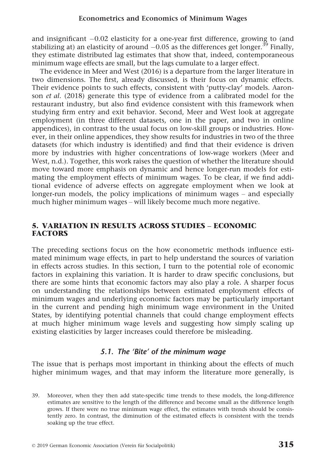and insignificant  $-0.02$  elasticity for a one-year first difference, growing to (and stabilizing at) an elasticity of around  $-0.05$  as the differences get longer.<sup>39</sup> Finally, they estimate distributed lag estimates that show that, indeed, contemporaneous minimum wage effects are small, but the lags cumulate to a larger effect.

The evidence in Meer and West (2016) is a departure from the larger literature in two dimensions. The first, already discussed, is their focus on dynamic effects. Their evidence points to such effects, consistent with 'putty-clay' models. Aaronson et al. (2018) generate this type of evidence from a calibrated model for the restaurant industry, but also find evidence consistent with this framework when studying firm entry and exit behavior. Second, Meer and West look at aggregate employment (in three different datasets, one in the paper, and two in online appendices), in contrast to the usual focus on low-skill groups or industries. However, in their online appendices, they show results for industries in two of the three datasets (for which industry is identified) and find that their evidence is driven more by industries with higher concentrations of low-wage workers (Meer and West, n.d.). Together, this work raises the question of whether the literature should move toward more emphasis on dynamic and hence longer-run models for estimating the employment effects of minimum wages. To be clear, if we find additional evidence of adverse effects on aggregate employment when we look at longer-run models, the policy implications of minimum wages – and especially much higher minimum wages – will likely become much more negative.

# 5. VARIATION IN RESULTS ACROSS STUDIES – ECONOMIC FACTORS

The preceding sections focus on the how econometric methods influence estimated minimum wage effects, in part to help understand the sources of variation in effects across studies. In this section, I turn to the potential role of economic factors in explaining this variation. It is harder to draw specific conclusions, but there are some hints that economic factors may also play a role. A sharper focus on understanding the relationships between estimated employment effects of minimum wages and underlying economic factors may be particularly important in the current and pending high minimum wage environment in the United States, by identifying potential channels that could change employment effects at much higher minimum wage levels and suggesting how simply scaling up existing elasticities by larger increases could therefore be misleading.

# 5.1. The 'Bite' of the minimum wage

The issue that is perhaps most important in thinking about the effects of much higher minimum wages, and that may inform the literature more generally, is

<sup>39.</sup> Moreover, when they then add state-specific time trends to these models, the long-difference estimates are sensitive to the length of the difference and become small as the difference length grows. If there were no true minimum wage effect, the estimates with trends should be consistently zero. In contrast, the diminution of the estimated effects is consistent with the trends soaking up the true effect.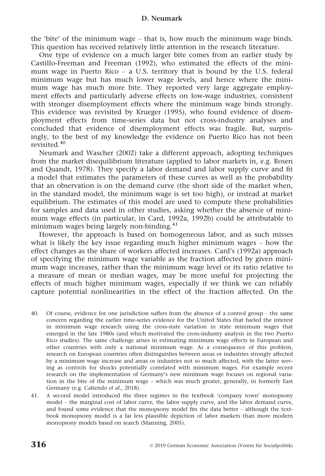the 'bite' of the minimum wage – that is, how much the minimum wage binds. This question has received relatively little attention in the research literature.

One type of evidence on a much larger bite comes from an earlier study by Castillo-Freeman and Freeman (1992), who estimated the effects of the minimum wage in Puerto Rico – a U.S. territory that is bound by the U.S. federal minimum wage but has much lower wage levels, and hence where the minimum wage has much more bite. They reported very large aggregate employment effects and particularly adverse effects on low-wage industries, consistent with stronger disemployment effects where the minimum wage binds strongly. This evidence was revisited by Krueger (1995), who found evidence of disemployment effects from time-series data but not cross-industry analyses and concluded that evidence of disemployment effects was fragile. But, surprisingly, to the best of my knowledge the evidence on Puerto Rico has not been revisited.<sup>40</sup>

Neumark and Wascher (2002) take a different approach, adopting techniques from the market disequilibrium literature (applied to labor markets in, e.g. Rosen and Quandt, 1978). They specify a labor demand and labor supply curve and fit a model that estimates the parameters of these curves as well as the probability that an observation is on the demand curve (the short side of the market when, in the standard model, the minimum wage is set too high), or instead at market equilibrium. The estimates of this model are used to compute these probabilities for samples and data used in other studies, asking whether the absence of minimum wage effects (in particular, in Card, 1992a, 1992b) could be attributable to minimum wages being largely non-binding.<sup>41</sup>

However, the approach is based on homogeneous labor, and as such misses what is likely the key issue regarding much higher minimum wages – how the effect changes as the share of workers affected increases. Card's (1992a) approach of specifying the minimum wage variable as the fraction affected by given minimum wage increases, rather than the minimum wage level or its ratio relative to a measure of mean or median wages, may be more useful for projecting the effects of much higher minimum wages, especially if we think we can reliably capture potential nonlinearities in the effect of the fraction affected. On the

- 40. Of course, evidence for one jurisdiction suffers from the absence of a control group the same concern regarding the earlier time-series evidence for the United States that fueled the interest in minimum wage research using the cross-state variation in state minimum wages that emerged in the late 1980s (and which motivated the cross-industry analysis in the two Puerto Rico studies). The same challenge arises in estimating minimum wage effects in European and other countries with only a national minimum wage. As a consequence of this problem, research on European countries often distinguishes between areas or industries strongly affected by a minimum wage increase and areas or industries not so much affected, with the latter serving as controls for shocks potentially correlated with minimum wages. For example recent research on the implementation of Germany's new minimum wage focuses on regional variation in the bite of the minimum wage – which was much greater, generally, in formerly East Germany (e.g. Caliendo et al., 2018).
- 41. A second model introduced the three regimes in the textbook 'company town' monopsony model – the marginal cost of labor curve, the labor supply curve, and the labor demand curve, and found some evidence that the monopsony model fits the data better – although the textbook monopsony model is a far less plausible depiction of labor markets than more modern monopsony models based on search (Manning, 2005).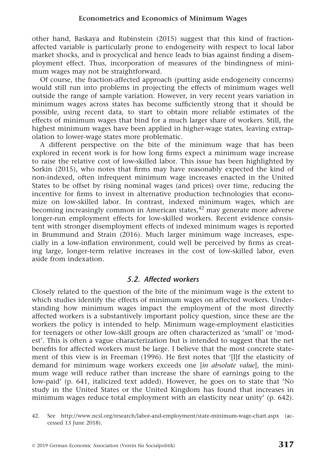other hand, Baskaya and Rubinstein (2015) suggest that this kind of fractionaffected variable is particularly prone to endogeneity with respect to local labor market shocks, and is procyclical and hence leads to bias against finding a disemployment effect. Thus, incorporation of measures of the bindingness of minimum wages may not be straightforward.

Of course, the fraction-affected approach (putting aside endogeneity concerns) would still run into problems in projecting the effects of minimum wages well outside the range of sample variation. However, in very recent years variation in minimum wages across states has become sufficiently strong that it should be possible, using recent data, to start to obtain more reliable estimates of the effects of minimum wages that bind for a much larger share of workers. Still, the highest minimum wages have been applied in higher-wage states, leaving extrapolation to lower-wage states more problematic.

A different perspective on the bite of the minimum wage that has been explored in recent work is for how long firms expect a minimum wage increase to raise the relative cost of low-skilled labor. This issue has been highlighted by Sorkin (2015), who notes that firms may have reasonably expected the kind of non-indexed, often infrequent minimum wage increases enacted in the United States to be offset by rising nominal wages (and prices) over time, reducing the incentive for firms to invest in alternative production technologies that economize on low-skilled labor. In contrast, indexed minimum wages, which are becoming increasingly common in American states, $42$  may generate more adverse longer-run employment effects for low-skilled workers. Recent evidence consistent with stronger disemployment effects of indexed minimum wages is reported in Brummund and Strain (2016). Much larger minimum wage increases, especially in a low-inflation environment, could well be perceived by firms as creating large, longer-term relative increases in the cost of low-skilled labor, even aside from indexation.

# 5.2. Affected workers

Closely related to the question of the bite of the minimum wage is the extent to which studies identify the effects of minimum wages on affected workers. Understanding how minimum wages impact the employment of the most directly affected workers is a substantively important policy question, since these are the workers the policy is intended to help. Minimum wage-employment elasticities for teenagers or other low-skill groups are often characterized as 'small' or 'modest'. This is often a vague characterization but is intended to suggest that the net benefits for affected workers must be large. I believe that the most concrete statement of this view is in Freeman (1996). He first notes that '[I]f the elasticity of demand for minimum wage workers exceeds one [in absolute value], the minimum wage will reduce rather than increase the share of earnings going to the low-paid' (p. 641, italicized text added). However, he goes on to state that 'No study in the United States or the United Kingdom has found that increases in minimum wages reduce total employment with an elasticity near unity' (p. 642).

<sup>42.</sup> See<http://www.ncsl.org/research/labor-and-employment/state-minimum-wage-chart.aspx> (accessed  $1\bar{3}$  June 2018).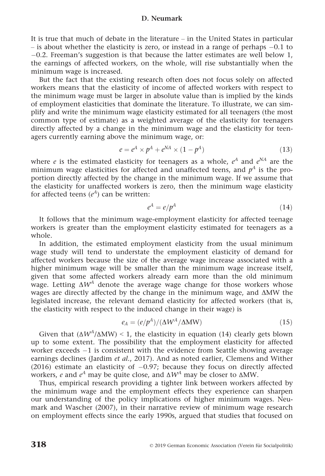It is true that much of debate in the literature – in the United States in particular – is about whether the elasticity is zero, or instead in a range of perhaps  $-0.1$  to  $-0.2$ . Freeman's suggestion is that because the latter estimates are well below 1, the earnings of affected workers, on the whole, will rise substantially when the minimum wage is increased.

But the fact that the existing research often does not focus solely on affected workers means that the elasticity of income of affected workers with respect to the minimum wage must be larger in absolute value than is implied by the kinds of employment elasticities that dominate the literature. To illustrate, we can simplify and write the minimum wage elasticity estimated for all teenagers (the most common type of estimate) as a weighted average of the elasticity for teenagers directly affected by a change in the minimum wage and the elasticity for teenagers currently earning above the minimum wage, or:

$$
e = e^A \times p^A + e^{NA} \times (1 - p^A) \tag{13}
$$

where *e* is the estimated elasticity for teenagers as a whole,  $e^{A}$  and  $e^{NA}$  are the minimum wage elasticities for affected and unaffected teens, and  $p<sup>A</sup>$  is the proportion directly affected by the change in the minimum wage. If we assume that the elasticity for unaffected workers is zero, then the minimum wage elasticity for affected teens  $(e^A)$  can be written:

$$
e^A = e/p^A \tag{14}
$$

It follows that the minimum wage-employment elasticity for affected teenage workers is greater than the employment elasticity estimated for teenagers as a whole.

In addition, the estimated employment elasticity from the usual minimum wage study will tend to understate the employment elasticity of demand for affected workers because the size of the average wage increase associated with a higher minimum wage will be smaller than the minimum wage increase itself, given that some affected workers already earn more than the old minimum wage. Letting  $\Delta W^A$  denote the average wage change for those workers whose wages are directly affected by the change in the minimum wage, and  $\Delta MW$  the legislated increase, the relevant demand elasticity for affected workers (that is, the elasticity with respect to the induced change in their wage) is

$$
e_A = (e/p^A) / (\Delta W^A / \Delta MW) \tag{15}
$$

Given that  $(\Delta W^A/\Delta MW)$  < 1, the elasticity in equation (14) clearly gets blown up to some extent. The possibility that the employment elasticity for affected worker exceeds  $-1$  is consistent with the evidence from Seattle showing average earnings declines (Jardim et al., 2017). And as noted earlier, Clemens and Wither (2016) estimate an elasticity of  $-0.97$ ; because they focus on directly affected workers, e and  $e^A$  may be quite close, and  $\Delta W^A$  may be closer to  $\Delta MW$ .

Thus, empirical research providing a tighter link between workers affected by the minimum wage and the employment effects they experience can sharpen our understanding of the policy implications of higher minimum wages. Neumark and Wascher (2007), in their narrative review of minimum wage research on employment effects since the early 1990s, argued that studies that focused on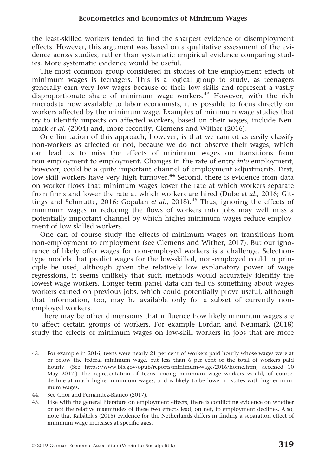the least-skilled workers tended to find the sharpest evidence of disemployment effects. However, this argument was based on a qualitative assessment of the evidence across studies, rather than systematic empirical evidence comparing studies. More systematic evidence would be useful.

The most common group considered in studies of the employment effects of minimum wages is teenagers. This is a logical group to study, as teenagers generally earn very low wages because of their low skills and represent a vastly disproportionate share of minimum wage workers. $43$  However, with the rich microdata now available to labor economists, it is possible to focus directly on workers affected by the minimum wage. Examples of minimum wage studies that try to identify impacts on affected workers, based on their wages, include Neumark et al. (2004) and, more recently, Clemens and Wither (2016).

One limitation of this approach, however, is that we cannot as easily classify non-workers as affected or not, because we do not observe their wages, which can lead us to miss the effects of minimum wages on transitions from non-employment to employment. Changes in the rate of entry into employment, however, could be a quite important channel of employment adjustments. First, low-skill workers have very high turnover.<sup>44</sup> Second, there is evidence from data on worker flows that minimum wages lower the rate at which workers separate from firms and lower the rate at which workers are hired (Dube et al., 2016; Gittings and Schmutte, 2016; Gopalan et al., 2018).<sup>45</sup> Thus, ignoring the effects of minimum wages in reducing the flows of workers into jobs may well miss a potentially important channel by which higher minimum wages reduce employment of low-skilled workers.

One can of course study the effects of minimum wages on transitions from non-employment to employment (see Clemens and Wither, 2017). But our ignorance of likely offer wages for non-employed workers is a challenge. Selectiontype models that predict wages for the low-skilled, non-employed could in principle be used, although given the relatively low explanatory power of wage regressions, it seems unlikely that such methods would accurately identify the lowest-wage workers. Longer-term panel data can tell us something about wages workers earned on previous jobs, which could potentially prove useful, although that information, too, may be available only for a subset of currently nonemployed workers.

There may be other dimensions that influence how likely minimum wages are to affect certain groups of workers. For example Lordan and Neumark (2018) study the effects of minimum wages on low-skill workers in jobs that are more

- 43. For example in 2016, teens were nearly 21 per cent of workers paid hourly whose wages were at or below the federal minimum wage, but less than 6 per cent of the total of workers paid hourly. (See [https://www.bls.gov/opub/reports/minimum-wage/2016/home.htm,](https://www.bls.gov/opub/reports/minimum-wage/2016/home.htm) accessed 10 May 2017.) The representation of teens among minimum wage workers would, of course, decline at much higher minimum wages, and is likely to be lower in states with higher minimum wages.
- 44. See Choi and Fernández-Blanco (2017).
- 45. Like with the general literature on employment effects, there is conflicting evidence on whether or not the relative magnitudes of these two effects lead, on net, to employment declines. Also, note that Kabátek's (2015) evidence for the Netherlands differs in finding a separation effect of minimum wage increases at specific ages.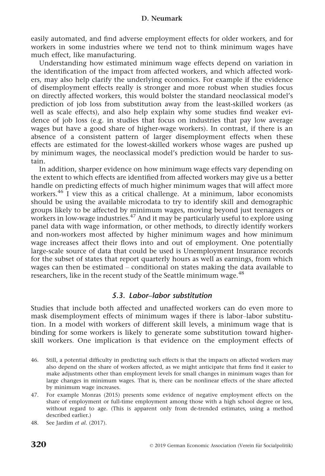easily automated, and find adverse employment effects for older workers, and for workers in some industries where we tend not to think minimum wages have much effect, like manufacturing.

Understanding how estimated minimum wage effects depend on variation in the identification of the impact from affected workers, and which affected workers, may also help clarify the underlying economics. For example if the evidence of disemployment effects really is stronger and more robust when studies focus on directly affected workers, this would bolster the standard neoclassical model's prediction of job loss from substitution away from the least-skilled workers (as well as scale effects), and also help explain why some studies find weaker evidence of job loss (e.g. in studies that focus on industries that pay low average wages but have a good share of higher-wage workers). In contrast, if there is an absence of a consistent pattern of larger disemployment effects when these effects are estimated for the lowest-skilled workers whose wages are pushed up by minimum wages, the neoclassical model's prediction would be harder to sustain.

In addition, sharper evidence on how minimum wage effects vary depending on the extent to which effects are identified from affected workers may give us a better handle on predicting effects of much higher minimum wages that will affect more workers.<sup>46</sup> I view this as a critical challenge. At a minimum, labor economists should be using the available microdata to try to identify skill and demographic groups likely to be affected by minimum wages, moving beyond just teenagers or workers in low-wage industries.<sup>47</sup> And it may be particularly useful to explore using panel data with wage information, or other methods, to directly identify workers and non-workers most affected by higher minimum wages and how minimum wage increases affect their flows into and out of employment. One potentially large-scale source of data that could be used is Unemployment Insurance records for the subset of states that report quarterly hours as well as earnings, from which wages can then be estimated – conditional on states making the data available to researchers, like in the recent study of the Seattle minimum wage.<sup>48</sup>

### 5.3. Labor–labor substitution

Studies that include both affected and unaffected workers can do even more to mask disemployment effects of minimum wages if there is labor–labor substitution. In a model with workers of different skill levels, a minimum wage that is binding for some workers is likely to generate some substitution toward higherskill workers. One implication is that evidence on the employment effects of

- 46. Still, a potential difficulty in predicting such effects is that the impacts on affected workers may also depend on the share of workers affected, as we might anticipate that firms find it easier to make adjustments other than employment levels for small changes in minimum wages than for large changes in minimum wages. That is, there can be nonlinear effects of the share affected by minimum wage increases.
- 47. For example Monras (2015) presents some evidence of negative employment effects on the share of employment or full-time employment among those with a high school degree or less, without regard to age. (This is apparent only from de-trended estimates, using a method described earlier.)
- 48. See Jardim et al. (2017).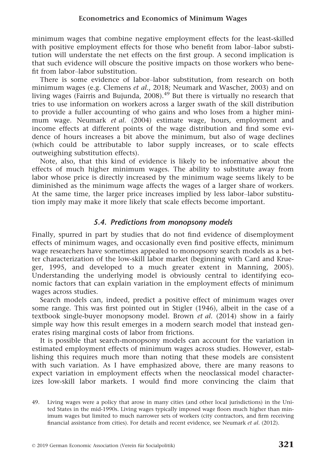minimum wages that combine negative employment effects for the least-skilled with positive employment effects for those who benefit from labor–labor substitution will understate the net effects on the first group. A second implication is that such evidence will obscure the positive impacts on those workers who benefit from labor–labor substitution.

There is some evidence of labor–labor substitution, from research on both minimum wages (e.g. Clemens et al., 2018; Neumark and Wascher, 2003) and on living wages (Fairris and Bujunda,  $2008$ ).<sup>49</sup> But there is virtually no research that tries to use information on workers across a larger swath of the skill distribution to provide a fuller accounting of who gains and who loses from a higher minimum wage. Neumark et al. (2004) estimate wage, hours, employment and income effects at different points of the wage distribution and find some evidence of hours increases a bit above the minimum, but also of wage declines (which could be attributable to labor supply increases, or to scale effects outweighing substitution effects).

Note, also, that this kind of evidence is likely to be informative about the effects of much higher minimum wages. The ability to substitute away from labor whose price is directly increased by the minimum wage seems likely to be diminished as the minimum wage affects the wages of a larger share of workers. At the same time, the larger price increases implied by less labor–labor substitution imply may make it more likely that scale effects become important.

# 5.4. Predictions from monopsony models

Finally, spurred in part by studies that do not find evidence of disemployment effects of minimum wages, and occasionally even find positive effects, minimum wage researchers have sometimes appealed to monopsony search models as a better characterization of the low-skill labor market (beginning with Card and Krueger, 1995, and developed to a much greater extent in Manning, 2005). Understanding the underlying model is obviously central to identifying economic factors that can explain variation in the employment effects of minimum wages across studies.

Search models can, indeed, predict a positive effect of minimum wages over some range. This was first pointed out in Stigler (1946), albeit in the case of a textbook single-buyer monopsony model. Brown et al. (2014) show in a fairly simple way how this result emerges in a modern search model that instead generates rising marginal costs of labor from frictions.

It is possible that search-monopsony models can account for the variation in estimated employment effects of minimum wages across studies. However, establishing this requires much more than noting that these models are consistent with such variation. As I have emphasized above, there are many reasons to expect variation in employment effects when the neoclassical model characterizes low-skill labor markets. I would find more convincing the claim that

<sup>49.</sup> Living wages were a policy that arose in many cities (and other local jurisdictions) in the United States in the mid-1990s. Living wages typically imposed wage floors much higher than minimum wages but limited to much narrower sets of workers (city contractors, and firm receiving financial assistance from cities). For details and recent evidence, see Neumark et al. (2012).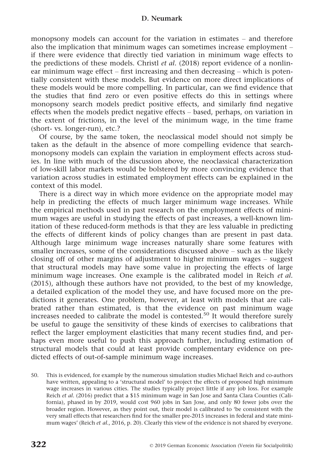monopsony models can account for the variation in estimates – and therefore also the implication that minimum wages can sometimes increase employment – if there were evidence that directly tied variation in minimum wage effects to the predictions of these models. Christl *et al.* (2018) report evidence of a nonlinear minimum wage effect – first increasing and then decreasing – which is potentially consistent with these models. But evidence on more direct implications of these models would be more compelling. In particular, can we find evidence that the studies that find zero or even positive effects do this in settings where monopsony search models predict positive effects, and similarly find negative effects when the models predict negative effects – based, perhaps, on variation in the extent of frictions, in the level of the minimum wage, in the time frame (short- vs. longer-run), etc.?

Of course, by the same token, the neoclassical model should not simply be taken as the default in the absence of more compelling evidence that searchmonopsony models can explain the variation in employment effects across studies. In line with much of the discussion above, the neoclassical characterization of low-skill labor markets would be bolstered by more convincing evidence that variation across studies in estimated employment effects can be explained in the context of this model.

There is a direct way in which more evidence on the appropriate model may help in predicting the effects of much larger minimum wage increases. While the empirical methods used in past research on the employment effects of minimum wages are useful in studying the effects of past increases, a well-known limitation of these reduced-form methods is that they are less valuable in predicting the effects of different kinds of policy changes than are present in past data. Although large minimum wage increases naturally share some features with smaller increases, some of the considerations discussed above – such as the likely closing off of other margins of adjustment to higher minimum wages – suggest that structural models may have some value in projecting the effects of large minimum wage increases. One example is the calibrated model in Reich et al. (2015), although these authors have not provided, to the best of my knowledge, a detailed explication of the model they use, and have focused more on the predictions it generates. One problem, however, at least with models that are calibrated rather than estimated, is that the evidence on past minimum wage increases needed to calibrate the model is contested.50 It would therefore surely be useful to gauge the sensitivity of these kinds of exercises to calibrations that reflect the larger employment elasticities that many recent studies find, and perhaps even more useful to push this approach further, including estimation of structural models that could at least provide complementary evidence on predicted effects of out-of-sample minimum wage increases.

50. This is evidenced, for example by the numerous simulation studies Michael Reich and co-authors have written, appealing to a 'structural model' to project the effects of proposed high minimum wage increases in various cities. The studies typically project little if any job loss. For example Reich et al. (2016) predict that a \$15 minimum wage in San Jose and Santa Clara Counties (California), phased in by 2019, would cost 960 jobs in San Jose, and only 80 fewer jobs over the broader region. However, as they point out, their model is calibrated to 'be consistent with the very small effects that researchers find for the smaller pre-2015 increases in federal and state minimum wages' (Reich et al., 2016, p. 20). Clearly this view of the evidence is not shared by everyone.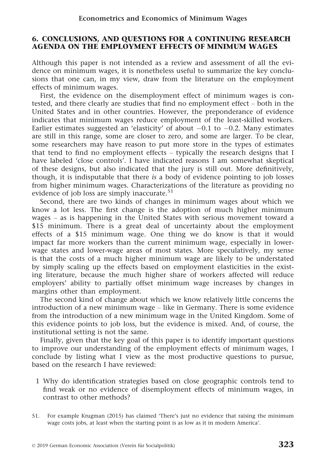### 6. CONCLUSIONS, AND QUESTIONS FOR A CONTINUING RESEARCH AGENDA ON THE EMPLOYMENT EFFECTS OF MINIMUM WAGES

Although this paper is not intended as a review and assessment of all the evidence on minimum wages, it is nonetheless useful to summarize the key conclusions that one can, in my view, draw from the literature on the employment effects of minimum wages.

First, the evidence on the disemployment effect of minimum wages is contested, and there clearly are studies that find no employment effect – both in the United States and in other countries. However, the preponderance of evidence indicates that minimum wages reduce employment of the least-skilled workers. Earlier estimates suggested an 'elasticity' of about  $-0.1$  to  $-0.2$ . Many estimates are still in this range, some are closer to zero, and some are larger. To be clear, some researchers may have reason to put more store in the types of estimates that tend to find no employment effects – typically the research designs that I have labeled 'close controls'. I have indicated reasons I am somewhat skeptical of these designs, but also indicated that the jury is still out. More definitively, though, it is indisputable that there is a body of evidence pointing to job losses from higher minimum wages. Characterizations of the literature as providing no evidence of job loss are simply inaccurate.<sup>51</sup>

Second, there are two kinds of changes in minimum wages about which we know a lot less. The first change is the adoption of much higher minimum wages – as is happening in the United States with serious movement toward a \$15 minimum. There is a great deal of uncertainty about the employment effects of a \$15 minimum wage. One thing we do know is that it would impact far more workers than the current minimum wage, especially in lowerwage states and lower-wage areas of most states. More speculatively, my sense is that the costs of a much higher minimum wage are likely to be understated by simply scaling up the effects based on employment elasticities in the existing literature, because the much higher share of workers affected will reduce employers' ability to partially offset minimum wage increases by changes in margins other than employment.

The second kind of change about which we know relatively little concerns the introduction of a new minimum wage – like in Germany. There is some evidence from the introduction of a new minimum wage in the United Kingdom. Some of this evidence points to job loss, but the evidence is mixed. And, of course, the institutional setting is not the same.

Finally, given that the key goal of this paper is to identify important questions to improve our understanding of the employment effects of minimum wages, I conclude by listing what I view as the most productive questions to pursue, based on the research I have reviewed:

- 1 Why do identification strategies based on close geographic controls tend to find weak or no evidence of disemployment effects of minimum wages, in contrast to other methods?
- 51. For example Krugman (2015) has claimed 'There's just no evidence that raising the minimum wage costs jobs, at least when the starting point is as low as it in modern America'.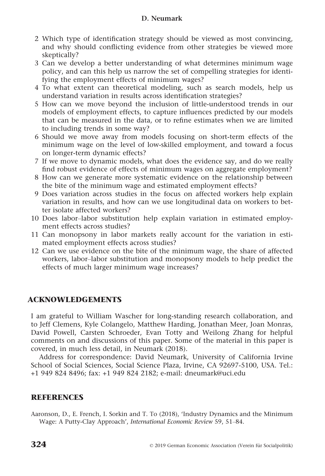- 2 Which type of identification strategy should be viewed as most convincing, and why should conflicting evidence from other strategies be viewed more skeptically?
- 3 Can we develop a better understanding of what determines minimum wage policy, and can this help us narrow the set of compelling strategies for identifying the employment effects of minimum wages?
- 4 To what extent can theoretical modeling, such as search models, help us understand variation in results across identification strategies?
- 5 How can we move beyond the inclusion of little-understood trends in our models of employment effects, to capture influences predicted by our models that can be measured in the data, or to refine estimates when we are limited to including trends in some way?
- 6 Should we move away from models focusing on short-term effects of the minimum wage on the level of low-skilled employment, and toward a focus on longer-term dynamic effects?
- 7 If we move to dynamic models, what does the evidence say, and do we really find robust evidence of effects of minimum wages on aggregate employment?
- 8 How can we generate more systematic evidence on the relationship between the bite of the minimum wage and estimated employment effects?
- 9 Does variation across studies in the focus on affected workers help explain variation in results, and how can we use longitudinal data on workers to better isolate affected workers?
- 10 Does labor–labor substitution help explain variation in estimated employment effects across studies?
- 11 Can monopsony in labor markets really account for the variation in estimated employment effects across studies?
- 12 Can we use evidence on the bite of the minimum wage, the share of affected workers, labor–labor substitution and monopsony models to help predict the effects of much larger minimum wage increases?

# ACKNOWLEDGEMENTS

I am grateful to William Wascher for long-standing research collaboration, and to Jeff Clemens, Kyle Colangelo, Matthew Harding, Jonathan Meer, Joan Monras, David Powell, Carsten Schroeder, Evan Totty and Weilong Zhang for helpful comments on and discussions of this paper. Some of the material in this paper is covered, in much less detail, in Neumark (2018).

Address for correspondence: David Neumark, University of California Irvine School of Social Sciences, Social Science Plaza, Irvine, CA 92697-5100, USA. Tel.: +1 949 824 8496; fax: +1 949 824 2182; e-mail: [dneumark@uci.edu](mailto:)

# **REFERENCES**

Aaronson, D., E. French, I. Sorkin and T. To (2018), 'Industry Dynamics and the Minimum Wage: A Putty-Clay Approach', International Economic Review 59, 51–84.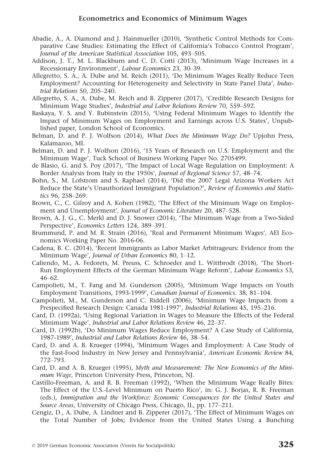- Abadie, A., A. Diamond and J. Hainmueller (2010), 'Synthetic Control Methods for Comparative Case Studies: Estimating the Effect of California's Tobacco Control Program', Journal of the American Statistical Association 105, 493–505.
- Addison, J. T., M. L. Blackburn and C. D. Cotti (2013), 'Minimum Wage Increases in a Recessionary Environment', Labour Economics 23, 30–39.
- Allegretto, S. A., A. Dube and M. Reich (2011), 'Do Minimum Wages Really Reduce Teen Employment? Accounting for Heterogeneity and Selectivity in State Panel Data', Industrial Relations 50, 205–240.
- Allegretto, S. A., A. Dube, M. Reich and B. Zipperer (2017), 'Credible Research Designs for Minimum Wage Studies', Industrial and Labor Relations Review 70, 559–592.
- Baskaya, Y. S. and Y. Rubinstein (2015), 'Using Federal Minimum Wages to Identify the Impact of Minimum Wages on Employment and Earnings across U.S. States', Unpublished paper, London School of Economics.
- Belman, D. and P. J. Wolfson (2014), What Does the Minimum Wage Do? Upjohn Press, Kalamazoo, MI.
- Belman, D. and P. J. Wolfson (2016), '15 Years of Research on U.S. Employment and the Minimum Wage', Tuck School of Business Working Paper No. 2705499.
- de Blasio, G. and S. Poy (2017), 'The Impact of Local Wage Regulation on Employment: A Border Analysis from Italy in the 1950s', Journal of Regional Science 57, 48–74.
- Bohn, S., M. Lofstrom and S. Raphael (2014), 'Did the 2007 Legal Arizona Workers Act Reduce the State's Unauthorized Immigrant Population?', Review of Economics and Statistics 96, 258–269.
- Brown, C., C. Gilroy and A. Kohen (1982), 'The Effect of the Minimum Wage on Employment and Unemployment', Journal of Economic Literature 20, 487–528.
- Brown, A. J. G., C. Merkl and D. J. Snower (2014), 'The Minimum Wage from a Two-Sided Perspective', Economics Letters 124, 389–391.
- Brummund, P. and M. R. Strain (2016), 'Real and Permanent Minimum Wages', AEI Economics Working Paper No. 2016-06.
- Cadena, B. C. (2014), 'Recent Immigrants as Labor Market Arbitrageurs: Evidence from the Minimum Wage', Journal of Urban Economics 80, 1–12.
- Caliendo, M., A. Fedorets, M. Preuss, C. Schroeder and L. Wittbrodt (2018), 'The Short-Run Employment Effects of the German Minimum Wage Reform', Labour Economics 53, 46–62.
- Campolieti, M., T. Fang and M. Gunderson (2005), 'Minimum Wage Impacts on Youth Employment Transitions, 1993-1999', Canadian Journal of Economics. 38, 81–104.
- Campolieti, M., M. Gunderson and C. Riddell (2006), 'Minimum Wage Impacts from a Prespecified Research Design: Canada 1981-1997', Industrial Relations 45, 195–216.
- Card, D. (1992a), 'Using Regional Variation in Wages to Measure the Effects of the Federal Minimum Wage', Industrial and Labor Relations Review 46, 22–37.
- Card, D. (1992b), 'Do Minimum Wages Reduce Employment? A Case Study of California, 1987-1989', Industrial and Labor Relations Review 46, 38–54.
- Card, D. and A. B. Krueger (1994), 'Minimum Wages and Employment: A Case Study of the Fast-Food Industry in New Jersey and Pennsylvania', American Economic Review 84, 772–793.
- Card, D. and A. B. Krueger (1995), Myth and Measurement: The New Economics of the Minimum Wage, Princeton University Press, Princeton, NJ.
- Castillo-Freeman, A. and R. B. Freeman (1992), 'When the Minimum Wage Really Bites: The Effect of the U.S.-Level Minimum on Puerto Rico', in: G. J. Borjas, R. B. Freeman (eds.), Immigration and the Workforce: Economic Consequences for the United States and Source Areas, University of Chicago Press, Chicago, IL, pp. 177–211.
- Cengiz, D., A. Dube, A. Lindner and B. Zipperer (2017), 'The Effect of Minimum Wages on the Total Number of Jobs; Evidence from the United States Using a Bunching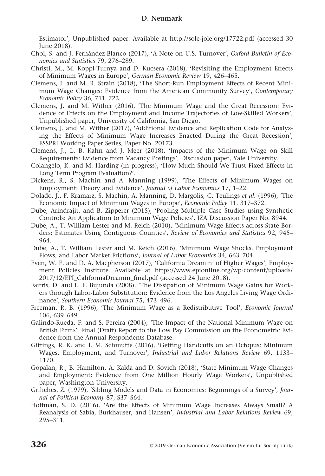Estimator', Unpublished paper. Available at<http://sole-jole.org/17722.pdf> (accessed 30 June 2018).

- Choi, S. and J. Fernández-Blanco (2017), 'A Note on U.S. Turnover', Oxford Bulletin of Economics and Statistics 79, 276–289.
- Christl, M., M. Köppl-Turnya and D. Kucsera (2018), 'Revisiting the Employment Effects of Minimum Wages in Europe', German Economic Review 19, 426–465.
- Clemens, J. and M. R. Strain (2018), 'The Short-Run Employment Effects of Recent Minimum Wage Changes: Evidence from the American Community Survey', Contemporary Economic Policy 36, 711–722.
- Clemens, J. and M. Wither (2016), 'The Minimum Wage and the Great Recession: Evidence of Effects on the Employment and Income Trajectories of Low-Skilled Workers', Unpublished paper, University of California, San Diego.
- Clemens, J. and M. Wither (2017), 'Additional Evidence and Replication Code for Analyzing the Effects of Minimum Wage Increases Enacted During the Great Recession', ESSPRI Working Paper Series, Paper No. 20173.
- Clemens, J., L. B. Kahn and J. Meer (2018), 'Impacts of the Minimum Wage on Skill Requirements: Evidence from Vacancy Postings', Discussion paper, Yale University.
- Colangelo, K. and M. Harding (in progress), 'How Much Should We Trust Fixed Effects in Long Term Program Evaluation?'.
- Dickens, R., S. Machin and A. Manning (1999), 'The Effects of Minimum Wages on Employment: Theory and Evidence', Journal of Labor Economics 17, 1–22.
- Dolado, J., F. Kramarz, S. Machin, A. Manning, D. Margolis, C. Teulings et al. (1996), 'The Economic Impact of Minimum Wages in Europe', Economic Policy 11, 317–372.
- Dube, Arindrajit. and B. Zipperer (2015), 'Pooling Multiple Case Studies using Synthetic Controls: An Application to Minimum Wage Policies', IZA Discussion Paper No. 8944.
- Dube, A., T. William Lester and M. Reich (2010), 'Minimum Wage Effects across State Borders: Estimates Using Contiguous Counties', Review of Economics and Statistics 92, 945– 964.
- Dube, A., T. William Lester and M. Reich (2016), 'Minimum Wage Shocks, Employment Flows, and Labor Market Frictions', Journal of Labor Economics 34, 663–704.
- Even, W. E. and D. A. Macpherson (2017), 'California Dreamin' of Higher Wages', Employment Policies Institute. Available at [https://www.epionline.org/wp-content/uploads/](https://www.epionline.org/wp-content/uploads/2017/12/EPI_CaliforniaDreamin_final.pdf) [2017/12/EPI\\_CaliforniaDreamin\\_final.pdf](https://www.epionline.org/wp-content/uploads/2017/12/EPI_CaliforniaDreamin_final.pdf) (accessed 24 June 2018).
- Fairris, D. and L. F. Bujunda (2008), 'The Dissipation of Minimum Wage Gains for Workers through Labor-Labor Substitution: Evidence from the Los Angeles Living Wage Ordinance', Southern Economic Journal 75, 473–496.
- Freeman, R. B. (1996), 'The Minimum Wage as a Redistributive Tool', Economic Journal 106, 639–649.
- Galindo-Rueda, F. and S. Pereira (2004), 'The Impact of the National Minimum Wage on British Firms', Final (Draft) Report to the Low Pay Commission on the Econometric Evidence from the Annual Respondents Database.
- Gittings, R. K. and I. M. Schmutte (2016), 'Getting Handcuffs on an Octopus: Minimum Wages, Employment, and Turnover', Industrial and Labor Relations Review 69, 1133– 1170.
- Gopalan, R., B. Hamilton, A. Kalda and D. Sovich (2018), 'State Minimum Wage Changes and Employment: Evidence from One Million Hourly Wage Workers', Unpublished paper, Washington University.
- Griliches, Z. (1979), 'Sibling Models and Data in Economics: Beginnings of a Survey', Journal of Political Economy 87, S37–S64.
- Hoffman, S. D. (2016), 'Are the Effects of Minimum Wage Increases Always Small? A Reanalysis of Sabia, Burkhauser, and Hansen', Industrial and Labor Relations Review 69, 295–311.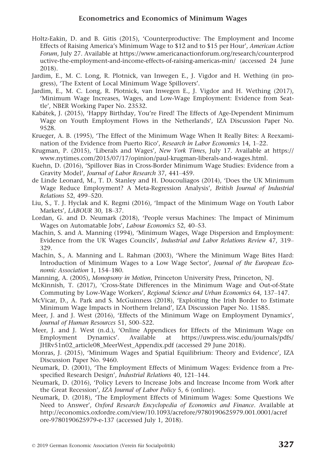- Holtz-Eakin, D. and B. Gitis (2015), 'Counterproductive: The Employment and Income Effects of Raising America's Minimum Wage to \$12 and to \$15 per Hour', American Action Forum, July 27. Available at [https://www.americanactionforum.org/research/counterprod](https://www.americanactionforum.org/research/counterproductive-the-employment-and-income-effects-of-raising-americas-min/) [uctive-the-employment-and-income-effects-of-raising-americas-min/](https://www.americanactionforum.org/research/counterproductive-the-employment-and-income-effects-of-raising-americas-min/) (accessed 24 June 2018).
- Jardim, E., M. C. Long, R. Plotnick, van Inwegen E., J. Vigdor and H. Wething (in progress), 'The Extent of Local Minimum Wage Spillovers'.
- Jardim, E., M. C. Long, R. Plotnick, van Inwegen E., J. Vigdor and H. Wething (2017), 'Minimum Wage Increases, Wages, and Low-Wage Employment: Evidence from Seattle', NBER Working Paper No. 23532.
- Kabátek, J. (2015), 'Happy Birthday, You're Fired! The Effects of Age-Dependent Minimum Wage on Youth Employment Flows in the Netherlands', IZA Discussion Paper No. 9528.
- Krueger, A. B. (1995), 'The Effect of the Minimum Wage When It Really Bites: A Reexamination of the Evidence from Puerto Rico', Research in Labor Economics 14, 1–22.
- Krugman, P. (2015), 'Liberals and Wages', New York Times, July 17. Available at [https://](https://www.nytimes.com/2015/07/17/opinion/paul-krugman-liberals-and-wages.html) [www.nytimes.com/2015/07/17/opinion/paul-krugman-liberals-and-wages.html](https://www.nytimes.com/2015/07/17/opinion/paul-krugman-liberals-and-wages.html).
- Kuehn, D. (2016), 'Spillover Bias in Cross-Border Minimum Wage Studies: Evidence from a Gravity Model', Journal of Labor Research 37, 441–459.
- de Linde Leonard, M., T. D. Stanley and H. Doucouliagos (2014), 'Does the UK Minimum Wage Reduce Employment? A Meta-Regression Analysis', British Journal of Industrial Relations 52, 499–520.
- Liu, S., T. J. Hyclak and K. Regmi (2016), 'Impact of the Minimum Wage on Youth Labor Markets', LABOUR 30, 18–37.
- Lordan, G. and D. Neumark (2018), 'People versus Machines: The Impact of Minimum Wages on Automatable Jobs', Labour Economics 52, 40–53.
- Machin, S. and A. Manning (1994), 'Minimum Wages, Wage Dispersion and Employment: Evidence from the UK Wages Councils', Industrial and Labor Relations Review 47, 319– 329.
- Machin, S., A. Manning and L. Rahman (2003), 'Where the Minimum Wage Bites Hard: Introduction of Minimum Wages to a Low Wage Sector', Journal of the European Economic Association 1, 154–180.
- Manning, A. (2005), Monopsony in Motion, Princeton University Press, Princeton, NJ.
- McKinnish, T. (2017), 'Cross-State Differences in the Minimum Wage and Out-of-State Commuting by Low-Wage Workers', Regional Science and Urban Economics 64, 137–147.
- McVicar, D., A. Park and S. McGuinness (2018), 'Exploiting the Irish Border to Estimate Minimum Wage Impacts in Northern Ireland', IZA Discussion Paper No. 11585.
- Meer, J. and J. West (2016), 'Effects of the Minimum Wage on Employment Dynamics', Journal of Human Resources 51, 500–522.
- Meer, J. and J. West (n.d.), 'Online Appendices for Effects of the Minimum Wage on Employment Dynamics'. Available at [https://uwpress.wisc.edu/journals/pdfs/](https://uwpress.wisc.edu/journals/pdfs/JHRv51n02_article08_MeerWest_Appendix.pdf) [JHRv51n02\\_article08\\_MeerWest\\_Appendix.pdf](https://uwpress.wisc.edu/journals/pdfs/JHRv51n02_article08_MeerWest_Appendix.pdf) (accessed 29 June 2018).
- Monras, J. (2015), 'Minimum Wages and Spatial Equilibrium: Theory and Evidence', IZA Discussion Paper No. 9460.
- Neumark, D. (2001), 'The Employment Effects of Minimum Wages: Evidence from a Prespecified Research Design', Industrial Relations 40, 121–144.
- Neumark, D. (2016), 'Policy Levers to Increase Jobs and Increase Income from Work after the Great Recession', IZA Journal of Labor Policy 5, 6 (online).
- Neumark, D. (2018), 'The Employment Effects of Minimum Wages: Some Questions We Need to Answer', Oxford Research Encyclopedia of Economics and Finance. Available at [http://economics.oxfordre.com/view/10.1093/acrefore/9780190625979.001.0001/acref](http://economics.oxfordre.com/view/10.1093/acrefore/9780190625979.001.0001/acrefore-9780190625979-e-137) [ore-9780190625979-e-137](http://economics.oxfordre.com/view/10.1093/acrefore/9780190625979.001.0001/acrefore-9780190625979-e-137) (accessed July 1, 2018).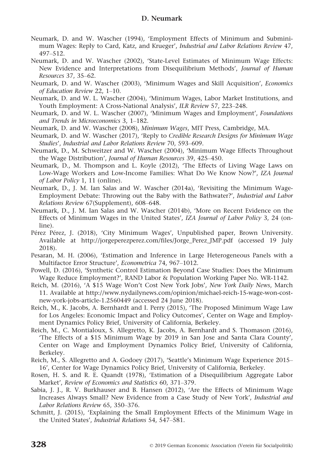- Neumark, D. and W. Wascher (1994), 'Employment Effects of Minimum and Subminimum Wages: Reply to Card, Katz, and Krueger', Industrial and Labor Relations Review 47, 497–512.
- Neumark, D. and W. Wascher (2002), 'State-Level Estimates of Minimum Wage Effects: New Evidence and Interpretations from Disequilibrium Methods', Journal of Human Resources 37, 35–62.
- Neumark, D. and W. Wascher (2003), 'Minimum Wages and Skill Acquisition', Economics of Education Review 22, 1–10.
- Neumark, D. and W. L. Wascher (2004), 'Minimum Wages, Labor Market Institutions, and Youth Employment: A Cross-National Analysis', ILR Review 57, 223–248.
- Neumark, D. and W. L. Wascher (2007), 'Minimum Wages and Employment', Foundations and Trends in Microeconomics 3, 1–182.
- Neumark, D. and W. Wascher (2008), Minimum Wages, MIT Press, Cambridge, MA.
- Neumark, D. and W. Wascher (2017), 'Reply to Credible Research Designs for Minimum Wage Studies', Industrial and Labor Relations Review 70, 593–609.
- Neumark, D., M. Schweitzer and W. Wascher (2004), 'Minimum Wage Effects Throughout the Wage Distribution', Journal of Human Resources 39, 425–450.
- Neumark, D., M. Thompson and L. Koyle (2012), 'The Effects of Living Wage Laws on Low-Wage Workers and Low-Income Families: What Do We Know Now?', IZA Journal of Labor Policy 1, 11 (online).
- Neumark, D., J. M. Ian Salas and W. Wascher (2014a), 'Revisiting the Minimum Wage-Employment Debate: Throwing out the Baby with the Bathwater?', Industrial and Labor Relations Review 67(Supplement), 608–648.
- Neumark, D., J. M. Ian Salas and W. Wascher (2014b), 'More on Recent Evidence on the Effects of Minimum Wages in the United States', IZA Journal of Labor Policy 3, 24 (online).
- Pérez Pérez, J. (2018), 'City Minimum Wages', Unpublished paper, Brown University. Available at [http://jorgeperezperez.com/files/Jorge\\_Perez\\_JMP.pdf](http://jorgeperezperez.com/files/Jorge_Perez_JMP.pdf) (accessed 19 July 2018).
- Pesaran, M. H. (2006), 'Estimation and Inference in Large Heterogeneous Panels with a Multifactor Error Structure', Econometrica 74, 967–1012.
- Powell, D. (2016), 'Synthetic Control Estimation Beyond Case Studies: Does the Minimum Wage Reduce Employment?', RAND Labor & Population Working Paper No. WR-1142.
- Reich, M. (2016), 'A \$15 Wage Won't Cost New York Jobs', New York Daily News, March 11. Available at [http://www.nydailynews.com/opinion/michael-reich-15-wage-won-cost](http://www.nydailynews.com/opinion/michael-reich-15-wage-won-cost-new-york-jobs-article-1.2560449)[new-york-jobs-article-1.2560449](http://www.nydailynews.com/opinion/michael-reich-15-wage-won-cost-new-york-jobs-article-1.2560449) (accessed 24 June 2018).
- Reich, M., K. Jacobs, A. Bernhardt and I. Perry (2015), 'The Proposed Minimum Wage Law for Los Angeles: Economic Impact and Policy Outcomes', Center on Wage and Employment Dynamics Policy Brief, University of California, Berkeley.
- Reich, M., C. Montialoux, S. Allegretto, K. Jacobs, A. Bernhardt and S. Thomason (2016), 'The Effects of a \$15 Minimum Wage by 2019 in San Jose and Santa Clara County', Center on Wage and Employment Dynamics Policy Brief, University of California, Berkeley.
- Reich, M., S. Allegretto and A. Godoey (2017), 'Seattle's Minimum Wage Experience 2015– 16', Center for Wage Dynamics Policy Brief, University of California, Berkeley.
- Rosen, H. S. and R. E. Quandt (1978), 'Estimation of a Disequilibrium Aggregate Labor Market', Review of Economics and Statistics 60, 371–379.
- Sabia, J. J., R. V. Burkhauser and B. Hansen (2012), 'Are the Effects of Minimum Wage Increases Always Small? New Evidence from a Case Study of New York', Industrial and Labor Relations Review 65, 350–376.
- Schmitt, J. (2015), 'Explaining the Small Employment Effects of the Minimum Wage in the United States', Industrial Relations 54, 547–581.